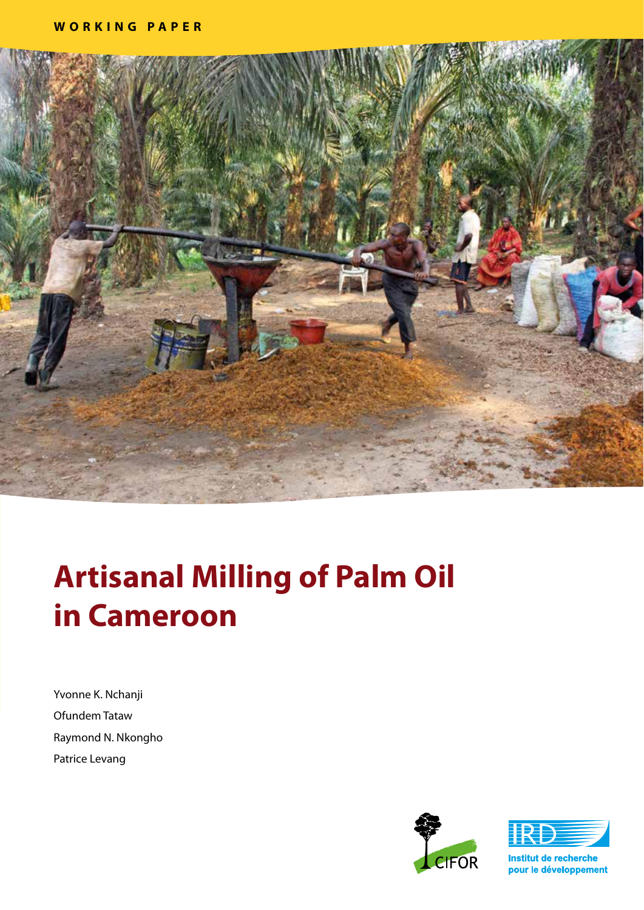

# **Artisanal Milling of Palm Oil in Cameroon**

Yvonne K. Nchanji Ofundem Tataw Raymond N. Nkongho Patrice Levang





Institut de recherche pour le développement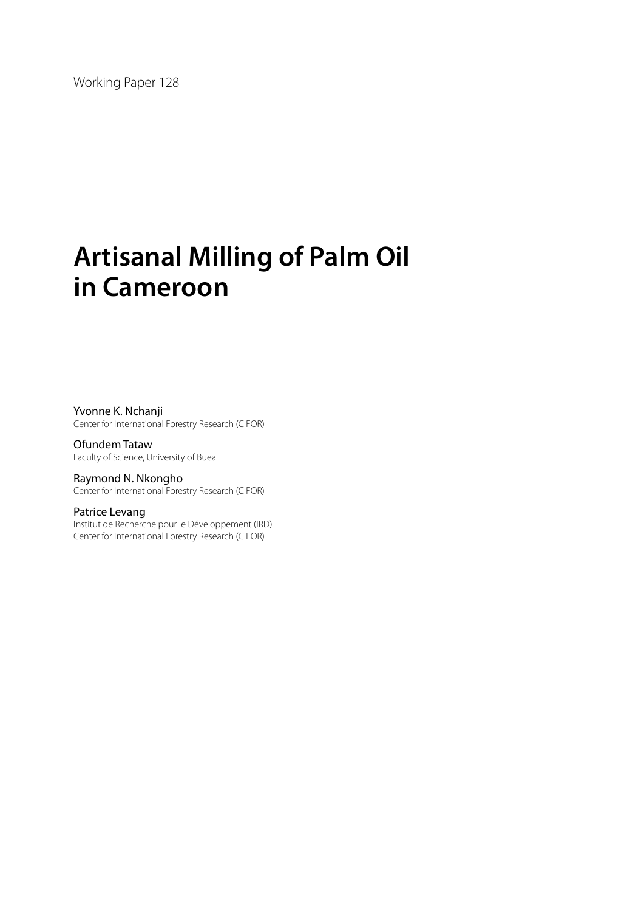Working Paper 128

# **Artisanal Milling of Palm Oil in Cameroon**

Yvonne K. Nchanji Center for International Forestry Research (CIFOR)

Ofundem Tataw Faculty of Science, University of Buea

Raymond N. Nkongho Center for International Forestry Research (CIFOR)

#### Patrice Levang

Institut de Recherche pour le Développement (IRD) Center for International Forestry Research (CIFOR)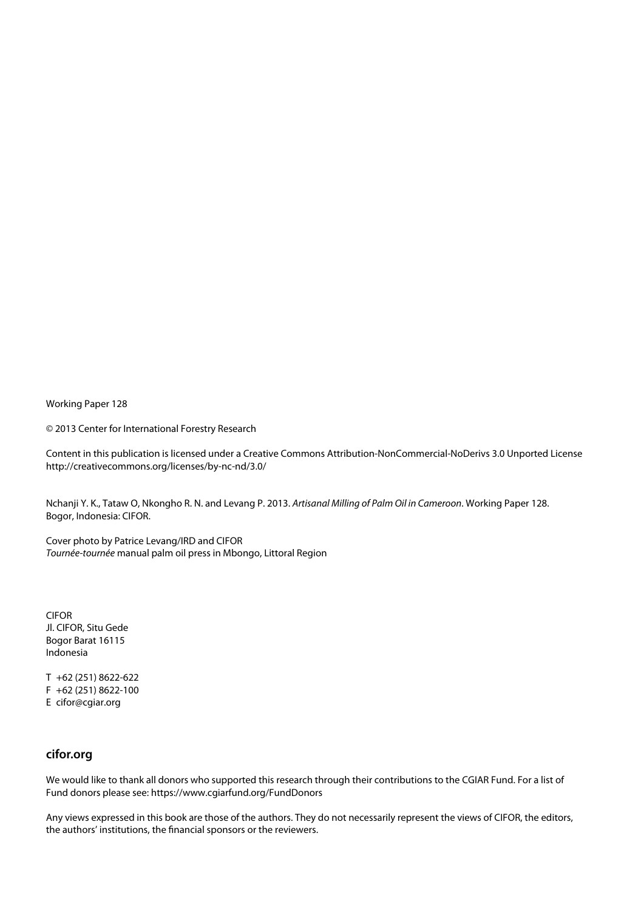Working Paper 128

© 2013 Center for International Forestry Research

Content in this publication is licensed under a Creative Commons Attribution-NonCommercial-NoDerivs 3.0 Unported License http://creativecommons.org/licenses/by-nc-nd/3.0/

Nchanji Y. K., Tataw O, Nkongho R. N. and Levang P. 2013. *Artisanal Milling of Palm Oil in Cameroon*. Working Paper 128. Bogor, Indonesia: CIFOR.

Cover photo by Patrice Levang/IRD and CIFOR *Tournée-tournée* manual palm oil press in Mbongo, Littoral Region

CIFOR Jl. CIFOR, Situ Gede Bogor Barat 16115 Indonesia

T +62 (251) 8622-622 F +62 (251) 8622-100 E cifor@cgiar.org

#### **cifor.org**

We would like to thank all donors who supported this research through their contributions to the CGIAR Fund. For a list of Fund donors please see: https://www.cgiarfund.org/FundDonors

Any views expressed in this book are those of the authors. They do not necessarily represent the views of CIFOR, the editors, the authors' institutions, the financial sponsors or the reviewers.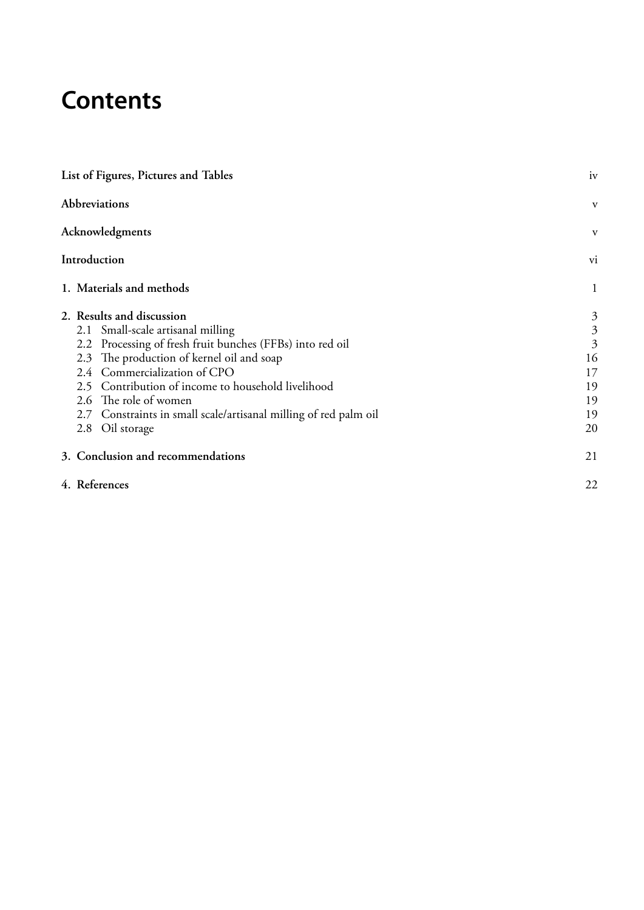# **Contents**

| List of Figures, Pictures and Tables |                                                                                                                                                                                                                                                                                                                                                                                |                                                                                                 |  |  |  |  |
|--------------------------------------|--------------------------------------------------------------------------------------------------------------------------------------------------------------------------------------------------------------------------------------------------------------------------------------------------------------------------------------------------------------------------------|-------------------------------------------------------------------------------------------------|--|--|--|--|
| <b>Abbreviations</b>                 |                                                                                                                                                                                                                                                                                                                                                                                |                                                                                                 |  |  |  |  |
|                                      | Acknowledgments                                                                                                                                                                                                                                                                                                                                                                | V                                                                                               |  |  |  |  |
|                                      | Introduction                                                                                                                                                                                                                                                                                                                                                                   | vi                                                                                              |  |  |  |  |
|                                      | 1. Materials and methods                                                                                                                                                                                                                                                                                                                                                       | $\mathbf{1}$                                                                                    |  |  |  |  |
|                                      | 2. Results and discussion<br>2.1 Small-scale artisanal milling<br>2.2 Processing of fresh fruit bunches (FFBs) into red oil<br>2.3 The production of kernel oil and soap<br>2.4 Commercialization of CPO<br>2.5 Contribution of income to household livelihood<br>2.6 The role of women<br>2.7 Constraints in small scale/artisanal milling of red palm oil<br>2.8 Oil storage | $\mathfrak{Z}$<br>$\overline{\mathbf{3}}$<br>$\overline{3}$<br>16<br>17<br>19<br>19<br>19<br>20 |  |  |  |  |
|                                      | 3. Conclusion and recommendations                                                                                                                                                                                                                                                                                                                                              | 21                                                                                              |  |  |  |  |
|                                      | 4. References                                                                                                                                                                                                                                                                                                                                                                  |                                                                                                 |  |  |  |  |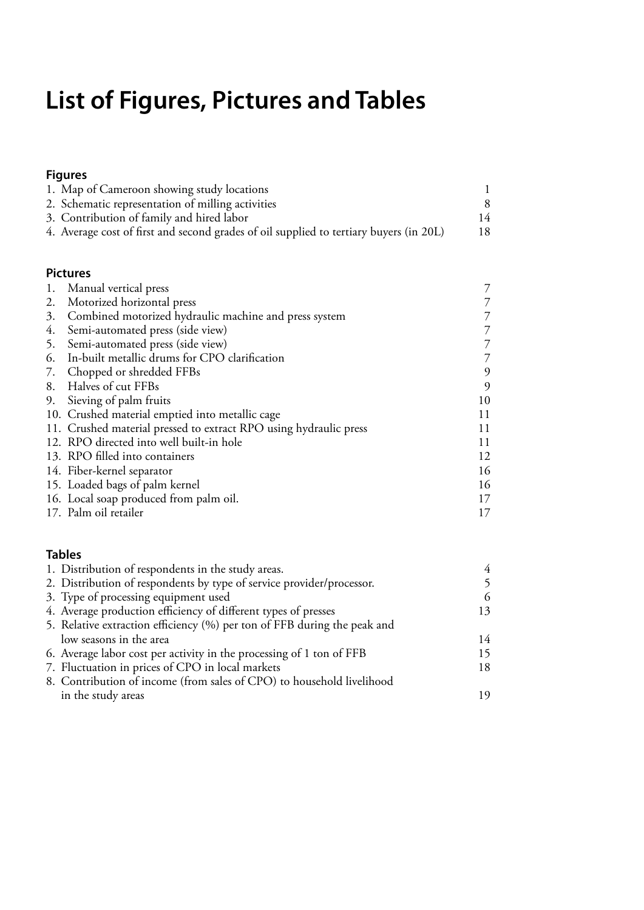# <span id="page-5-0"></span>**List of Figures, Pictures and Tables**

### **Figures**

| 1. Map of Cameroon showing study locations                                             |    |
|----------------------------------------------------------------------------------------|----|
| 2. Schematic representation of milling activities                                      |    |
| 3. Contribution of family and hired labor                                              | 14 |
| 4. Average cost of first and second grades of oil supplied to tertiary buyers (in 20L) |    |

#### **Pictures**

|    | 1. Manual vertical press                                          |    |
|----|-------------------------------------------------------------------|----|
|    | 2. Motorized horizontal press                                     |    |
|    | 3. Combined motorized hydraulic machine and press system          |    |
| 4. | Semi-automated press (side view)                                  |    |
|    | 5. Semi-automated press (side view)                               |    |
|    | 6. In-built metallic drums for CPO clarification                  |    |
|    | 7. Chopped or shredded FFBs                                       | 9  |
|    | 8. Halves of cut FFBs                                             | 9  |
|    | 9. Sieving of palm fruits                                         | 10 |
|    | 10. Crushed material emptied into metallic cage                   | 11 |
|    | 11. Crushed material pressed to extract RPO using hydraulic press | 11 |
|    | 12. RPO directed into well built-in hole                          | 11 |
|    | 13. RPO filled into containers                                    | 12 |
|    | 14. Fiber-kernel separator                                        | 16 |
|    | 15. Loaded bags of palm kernel                                    | 16 |
|    | 16. Local soap produced from palm oil.                            | 17 |
|    | 17. Palm oil retailer                                             | 17 |

#### **Tables**

| 6  |
|----|
| 13 |
|    |
| 14 |
| 15 |
| 18 |
|    |
| 19 |
|    |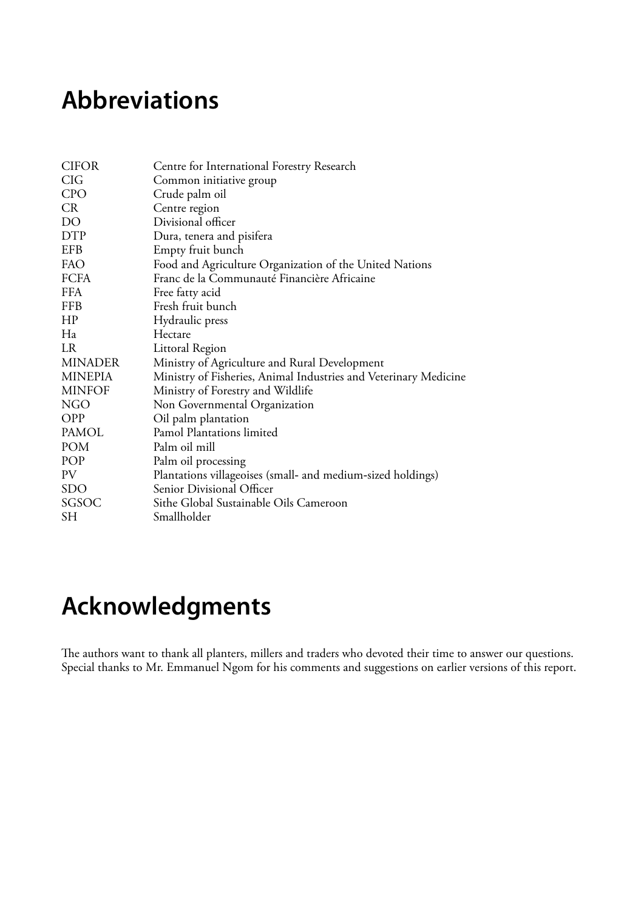## <span id="page-6-0"></span>**Abbreviations**

| <b>CIFOR</b>   | Centre for International Forestry Research                       |
|----------------|------------------------------------------------------------------|
| <b>CIG</b>     | Common initiative group                                          |
| <b>CPO</b>     | Crude palm oil                                                   |
| <b>CR</b>      | Centre region                                                    |
| DO             | Divisional officer                                               |
| <b>DTP</b>     | Dura, tenera and pisifera                                        |
| EFB            | Empty fruit bunch                                                |
| FAO            | Food and Agriculture Organization of the United Nations          |
| <b>FCFA</b>    | Franc de la Communauté Financière Africaine                      |
| <b>FFA</b>     | Free fatty acid                                                  |
| <b>FFB</b>     | Fresh fruit bunch                                                |
| HP             | Hydraulic press                                                  |
| Ha             | Hectare                                                          |
| <b>LR</b>      | Littoral Region                                                  |
| <b>MINADER</b> | Ministry of Agriculture and Rural Development                    |
| <b>MINEPIA</b> | Ministry of Fisheries, Animal Industries and Veterinary Medicine |
| <b>MINFOF</b>  | Ministry of Forestry and Wildlife                                |
| NGO            | Non Governmental Organization                                    |
| <b>OPP</b>     | Oil palm plantation                                              |
| PAMOL          | Pamol Plantations limited                                        |
| POM            | Palm oil mill                                                    |
| POP            | Palm oil processing                                              |
| PV             | Plantations villageoises (small- and medium-sized holdings)      |
| <b>SDO</b>     | Senior Divisional Officer                                        |
| SGSOC          | Sithe Global Sustainable Oils Cameroon                           |
| SН             | Smallholder                                                      |

# **Acknowledgments**

The authors want to thank all planters, millers and traders who devoted their time to answer our questions. Special thanks to Mr. Emmanuel Ngom for his comments and suggestions on earlier versions of this report.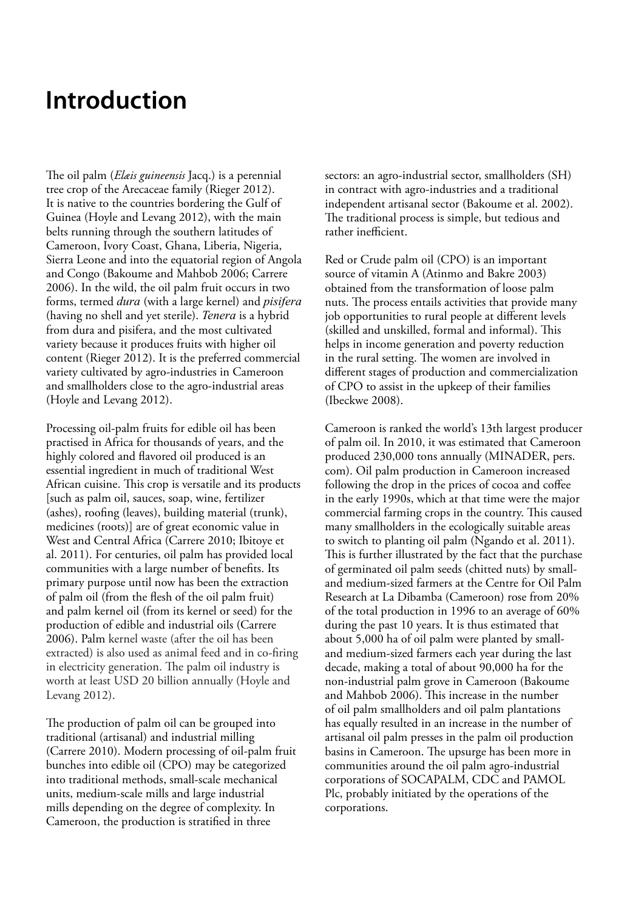### <span id="page-7-0"></span>**Introduction**

The oil palm (*Elæis guineensis* Jacq.) is a perennial tree crop of the Arecaceae family (Rieger 2012). It is native to the countries bordering the Gulf of Guinea (Hoyle and Levang 2012), with the main belts running through the southern latitudes of Cameroon, Ivory Coast, Ghana, Liberia, Nigeria, Sierra Leone and into the equatorial region of Angola and Congo (Bakoume and Mahbob 2006; Carrere 2006). In the wild, the oil palm fruit occurs in two forms, termed *dura* (with a large kernel) and *pisifera*  (having no shell and yet sterile). *Tenera* is a hybrid from dura and pisifera, and the most cultivated variety because it produces fruits with higher oil content (Rieger 2012). It is the preferred commercial variety cultivated by agro-industries in Cameroon and smallholders close to the agro-industrial areas (Hoyle and Levang 2012).

Processing oil-palm fruits for edible oil has been practised in Africa for thousands of years, and the highly colored and flavored oil produced is an essential ingredient in much of traditional West African cuisine. This crop is versatile and its products [such as palm oil, sauces, soap, wine, fertilizer (ashes), roofing (leaves), building material (trunk), medicines (roots)] are of great economic value in West and Central Africa (Carrere 2010; Ibitoye et al. 2011). For centuries, oil palm has provided local communities with a large number of benefits. Its primary purpose until now has been the extraction of palm oil (from the flesh of the oil palm fruit) and palm kernel oil (from its kernel or seed) for the production of edible and industrial oils (Carrere 2006). Palm kernel waste (after the oil has been extracted) is also used as animal feed and in co-firing in electricity generation. The palm oil industry is worth at least USD 20 billion annually (Hoyle and Levang 2012).

The production of palm oil can be grouped into traditional (artisanal) and industrial milling (Carrere 2010). Modern processing of oil-palm fruit bunches into edible oil (CPO) may be categorized into traditional methods, small-scale mechanical units, medium-scale mills and large industrial mills depending on the degree of complexity. In Cameroon, the production is stratified in three

sectors: an agro-industrial sector, smallholders (SH) in contract with agro-industries and a traditional independent artisanal sector (Bakoume et al. 2002). The traditional process is simple, but tedious and rather inefficient.

Red or Crude palm oil (CPO) is an important source of vitamin A (Atinmo and Bakre 2003) obtained from the transformation of loose palm nuts. The process entails activities that provide many job opportunities to rural people at different levels (skilled and unskilled, formal and informal). This helps in income generation and poverty reduction in the rural setting. The women are involved in different stages of production and commercialization of CPO to assist in the upkeep of their families (Ibeckwe 2008).

Cameroon is ranked the world's 13th largest producer of palm oil. In 2010, it was estimated that Cameroon produced 230,000 tons annually (MINADER, pers. com). Oil palm production in Cameroon increased following the drop in the prices of cocoa and coffee in the early 1990s, which at that time were the major commercial farming crops in the country. This caused many smallholders in the ecologically suitable areas to switch to planting oil palm (Ngando et al. 2011). This is further illustrated by the fact that the purchase of germinated oil palm seeds (chitted nuts) by smalland medium-sized farmers at the Centre for Oil Palm Research at La Dibamba (Cameroon) rose from 20% of the total production in 1996 to an average of 60% during the past 10 years. It is thus estimated that about 5,000 ha of oil palm were planted by smalland medium-sized farmers each year during the last decade, making a total of about 90,000 ha for the non-industrial palm grove in Cameroon (Bakoume and Mahbob 2006). This increase in the number of oil palm smallholders and oil palm plantations has equally resulted in an increase in the number of artisanal oil palm presses in the palm oil production basins in Cameroon. The upsurge has been more in communities around the oil palm agro-industrial corporations of SOCAPALM, CDC and PAMOL Plc, probably initiated by the operations of the corporations.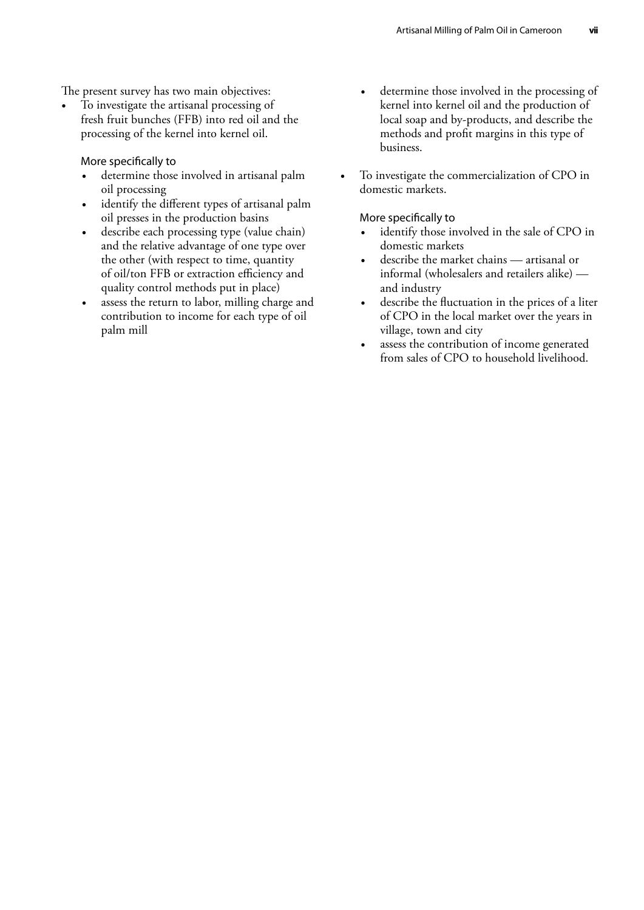The present survey has two main objectives:

• To investigate the artisanal processing of fresh fruit bunches (FFB) into red oil and the processing of the kernel into kernel oil.

More specifically to

- determine those involved in artisanal palm oil processing
- identify the different types of artisanal palm oil presses in the production basins
- describe each processing type (value chain) and the relative advantage of one type over the other (with respect to time, quantity of oil/ton FFB or extraction efficiency and quality control methods put in place)
- assess the return to labor, milling charge and contribution to income for each type of oil palm mill
- determine those involved in the processing of kernel into kernel oil and the production of local soap and by-products, and describe the methods and profit margins in this type of business.
- To investigate the commercialization of CPO in domestic markets.

#### More specifically to

- identify those involved in the sale of CPO in domestic markets
- describe the market chains artisanal or informal (wholesalers and retailers alike) and industry
- describe the fluctuation in the prices of a liter of CPO in the local market over the years in village, town and city
- assess the contribution of income generated from sales of CPO to household livelihood.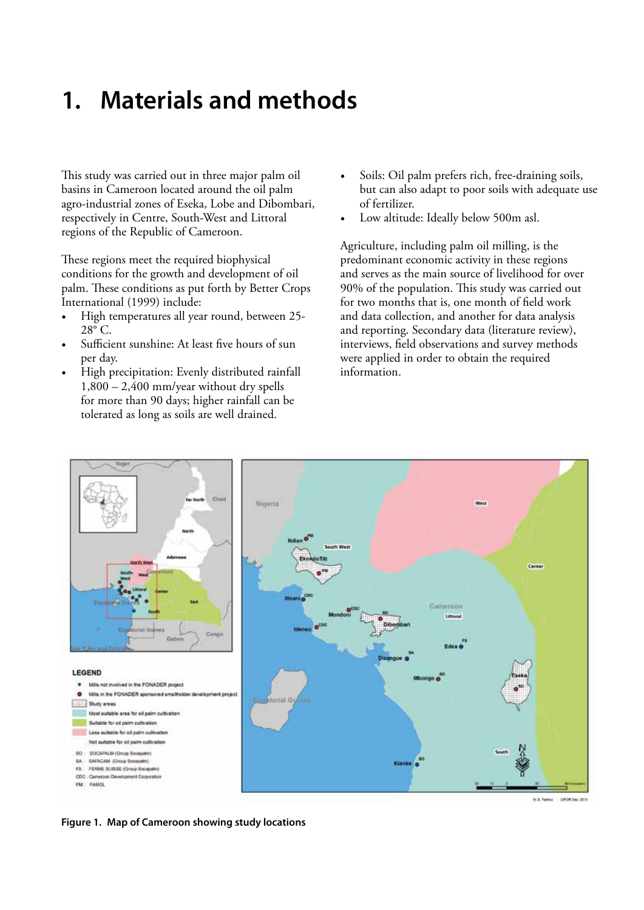### <span id="page-9-0"></span>**1. Materials and methods**

This study was carried out in three major palm oil basins in Cameroon located around the oil palm agro-industrial zones of Eseka, Lobe and Dibombari, respectively in Centre, South-West and Littoral regions of the Republic of Cameroon.

These regions meet the required biophysical conditions for the growth and development of oil palm. These conditions as put forth by Better Crops International (1999) include:

- High temperatures all year round, between 25- 28° C.
- Sufficient sunshine: At least five hours of sun per day.
- High precipitation: Evenly distributed rainfall  $1,800 - 2,400$  mm/year without dry spells for more than 90 days; higher rainfall can be tolerated as long as soils are well drained.
- Soils: Oil palm prefers rich, free-draining soils, but can also adapt to poor soils with adequate use of fertilizer.
- Low altitude: Ideally below 500m asl.

Agriculture, including palm oil milling, is the predominant economic activity in these regions and serves as the main source of livelihood for over 90% of the population. This study was carried out for two months that is, one month of field work and data collection, and another for data analysis and reporting. Secondary data (literature review), interviews, field observations and survey methods were applied in order to obtain the required information.



**Figure 1. Map of Cameroon showing study locations**

CROKOm 2018 M.S. Farkes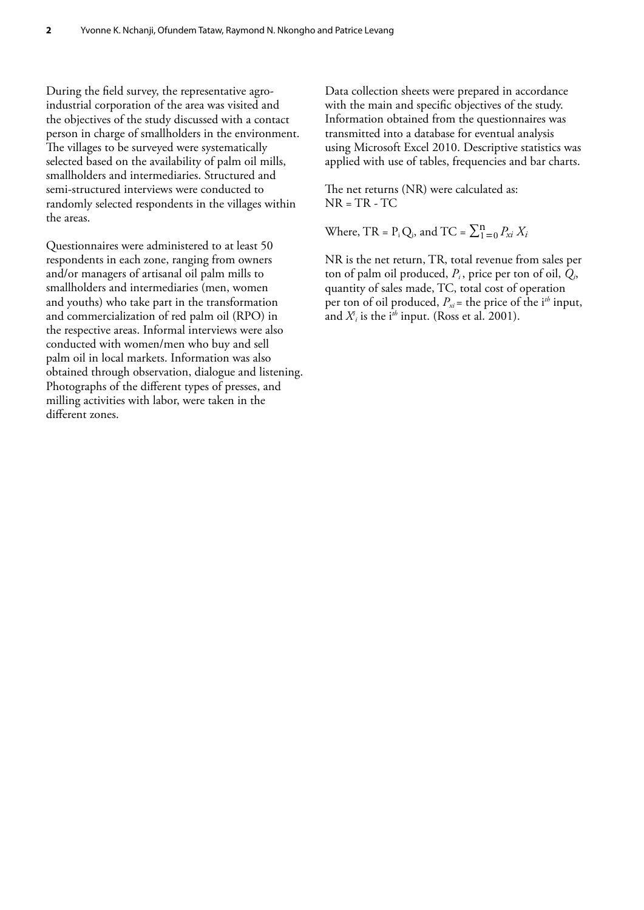During the field survey, the representative agroindustrial corporation of the area was visited and the objectives of the study discussed with a contact person in charge of smallholders in the environment. The villages to be surveyed were systematically selected based on the availability of palm oil mills, smallholders and intermediaries. Structured and semi-structured interviews were conducted to randomly selected respondents in the villages within the areas.

Questionnaires were administered to at least 50 respondents in each zone, ranging from owners and/or managers of artisanal oil palm mills to smallholders and intermediaries (men, women and youths) who take part in the transformation and commercialization of red palm oil (RPO) in the respective areas. Informal interviews were also conducted with women/men who buy and sell palm oil in local markets. Information was also obtained through observation, dialogue and listening. Photographs of the different types of presses, and milling activities with labor, were taken in the different zones.

Data collection sheets were prepared in accordance with the main and specific objectives of the study. Information obtained from the questionnaires was transmitted into a database for eventual analysis using Microsoft Excel 2010. Descriptive statistics was applied with use of tables, frequencies and bar charts.

The net returns (NR) were calculated as:  $NR = TR - TC$ 

Where, TR =  $P_i Q_i$ , and TC =  $\sum_{1=0}^{n} P_{xi} X_i$ 

NR is the net return, TR, total revenue from sales per ton of palm oil produced, *Pi* , price per ton of oil, *Qi*, quantity of sales made, TC, total cost of operation per ton of oil produced,  $P_{xi}$  = the price of the i<sup>th</sup> input, and  $X_i^i$  is the i<sup>th</sup> input. (Ross et al. 2001).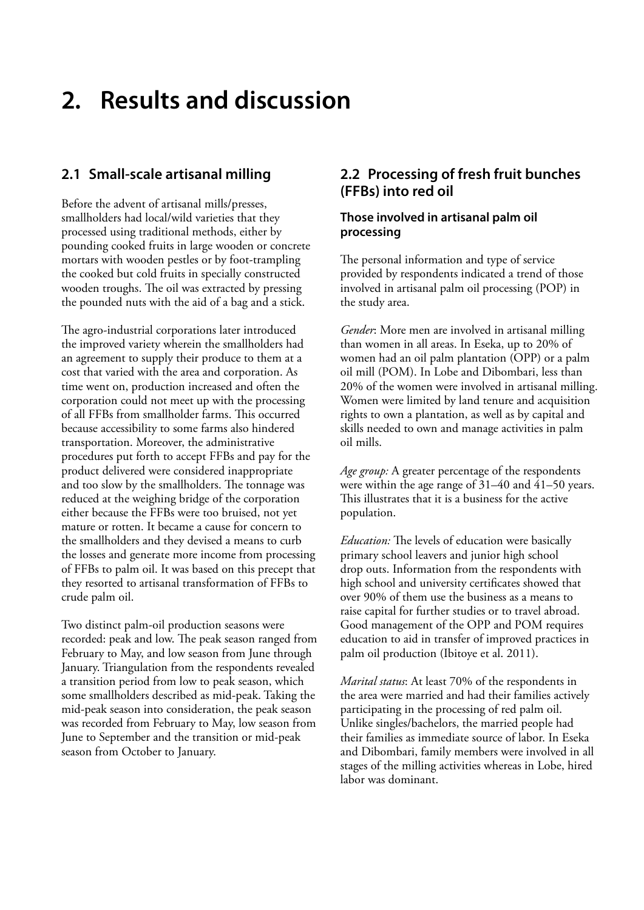### <span id="page-11-0"></span>**2. Results and discussion**

#### **2.1 Small-scale artisanal milling**

Before the advent of artisanal mills/presses, smallholders had local/wild varieties that they processed using traditional methods, either by pounding cooked fruits in large wooden or concrete mortars with wooden pestles or by foot-trampling the cooked but cold fruits in specially constructed wooden troughs. The oil was extracted by pressing the pounded nuts with the aid of a bag and a stick.

The agro-industrial corporations later introduced the improved variety wherein the smallholders had an agreement to supply their produce to them at a cost that varied with the area and corporation. As time went on, production increased and often the corporation could not meet up with the processing of all FFBs from smallholder farms. This occurred because accessibility to some farms also hindered transportation. Moreover, the administrative procedures put forth to accept FFBs and pay for the product delivered were considered inappropriate and too slow by the smallholders. The tonnage was reduced at the weighing bridge of the corporation either because the FFBs were too bruised, not yet mature or rotten. It became a cause for concern to the smallholders and they devised a means to curb the losses and generate more income from processing of FFBs to palm oil. It was based on this precept that they resorted to artisanal transformation of FFBs to crude palm oil.

Two distinct palm-oil production seasons were recorded: peak and low. The peak season ranged from February to May, and low season from June through January. Triangulation from the respondents revealed a transition period from low to peak season, which some smallholders described as mid-peak. Taking the mid-peak season into consideration, the peak season was recorded from February to May, low season from June to September and the transition or mid-peak season from October to January.

#### **2.2 Processing of fresh fruit bunches (FFBs) into red oil**

#### **Those involved in artisanal palm oil processing**

The personal information and type of service provided by respondents indicated a trend of those involved in artisanal palm oil processing (POP) in the study area.

*Gender*: More men are involved in artisanal milling than women in all areas. In Eseka, up to 20% of women had an oil palm plantation (OPP) or a palm oil mill (POM). In Lobe and Dibombari, less than 20% of the women were involved in artisanal milling. Women were limited by land tenure and acquisition rights to own a plantation, as well as by capital and skills needed to own and manage activities in palm oil mills.

*Age group:* A greater percentage of the respondents were within the age range of 31–40 and 41–50 years. This illustrates that it is a business for the active population.

*Education:* The levels of education were basically primary school leavers and junior high school drop outs. Information from the respondents with high school and university certificates showed that over 90% of them use the business as a means to raise capital for further studies or to travel abroad. Good management of the OPP and POM requires education to aid in transfer of improved practices in palm oil production (Ibitoye et al. 2011).

*Marital status*: At least 70% of the respondents in the area were married and had their families actively participating in the processing of red palm oil. Unlike singles/bachelors, the married people had their families as immediate source of labor. In Eseka and Dibombari, family members were involved in all stages of the milling activities whereas in Lobe, hired labor was dominant.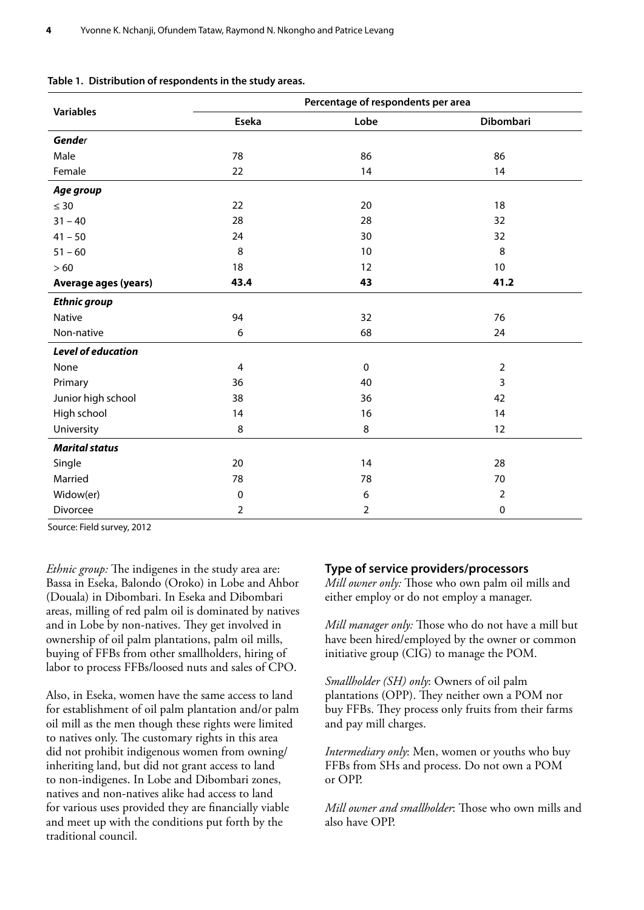|                             | Percentage of respondents per area |                |                |  |  |  |  |
|-----------------------------|------------------------------------|----------------|----------------|--|--|--|--|
| <b>Variables</b>            | Eseka                              | Lobe           | Dibombari      |  |  |  |  |
| Gender                      |                                    |                |                |  |  |  |  |
| Male                        | 78                                 | 86             | 86             |  |  |  |  |
| Female                      | 22                                 | 14             | 14             |  |  |  |  |
| Age group                   |                                    |                |                |  |  |  |  |
| $\leq 30$                   | 22                                 | 20             | 18             |  |  |  |  |
| $31 - 40$                   | 28                                 | 28             | 32             |  |  |  |  |
| $41 - 50$                   | 24                                 | 30             | 32             |  |  |  |  |
| $51 - 60$                   | 8                                  | 10             | 8              |  |  |  |  |
| >60                         | 18                                 | 12             | 10             |  |  |  |  |
| <b>Average ages (years)</b> | 43.4                               | 43             | 41.2           |  |  |  |  |
| <b>Ethnic group</b>         |                                    |                |                |  |  |  |  |
| Native                      | 94                                 | 32             | 76             |  |  |  |  |
| Non-native                  | 6                                  | 68             | 24             |  |  |  |  |
| <b>Level of education</b>   |                                    |                |                |  |  |  |  |
| None                        | 4                                  | $\pmb{0}$      | $\overline{2}$ |  |  |  |  |
| Primary                     | 36                                 | 40             | 3              |  |  |  |  |
| Junior high school          | 38                                 | 36             | 42             |  |  |  |  |
| High school                 | 14                                 | 16             | 14             |  |  |  |  |
| University                  | 8                                  | 8              | 12             |  |  |  |  |
| <b>Marital status</b>       |                                    |                |                |  |  |  |  |
| Single                      | 20                                 | 14             | 28             |  |  |  |  |
| Married                     | 78                                 | 78             | 70             |  |  |  |  |
| Widow(er)                   | $\pmb{0}$                          | 6              | $\overline{2}$ |  |  |  |  |
| Divorcee                    | $\overline{2}$                     | $\overline{2}$ | 0              |  |  |  |  |

|  |  | Table 1. Distribution of respondents in the study areas. |  |  |
|--|--|----------------------------------------------------------|--|--|
|--|--|----------------------------------------------------------|--|--|

Source: Field survey, 2012

*Ethnic group:* The indigenes in the study area are: Bassa in Eseka, Balondo (Oroko) in Lobe and Ahbor (Douala) in Dibombari. In Eseka and Dibombari areas, milling of red palm oil is dominated by natives and in Lobe by non-natives. They get involved in ownership of oil palm plantations, palm oil mills, buying of FFBs from other smallholders, hiring of labor to process FFBs/loosed nuts and sales of CPO.

Also, in Eseka, women have the same access to land for establishment of oil palm plantation and/or palm oil mill as the men though these rights were limited to natives only. The customary rights in this area did not prohibit indigenous women from owning/ inheriting land, but did not grant access to land to non-indigenes. In Lobe and Dibombari zones, natives and non-natives alike had access to land for various uses provided they are financially viable and meet up with the conditions put forth by the traditional council.

#### **Type of service providers/processors**

*Mill owner only:* Those who own palm oil mills and either employ or do not employ a manager.

*Mill manager only:* Those who do not have a mill but have been hired/employed by the owner or common initiative group (CIG) to manage the POM.

*Smallholder (SH) only*: Owners of oil palm plantations (OPP). They neither own a POM nor buy FFBs. They process only fruits from their farms and pay mill charges.

*Intermediary only*: Men, women or youths who buy FFBs from SHs and process. Do not own a POM or OPP.

*Mill owner and smallholder*: Those who own mills and also have OPP.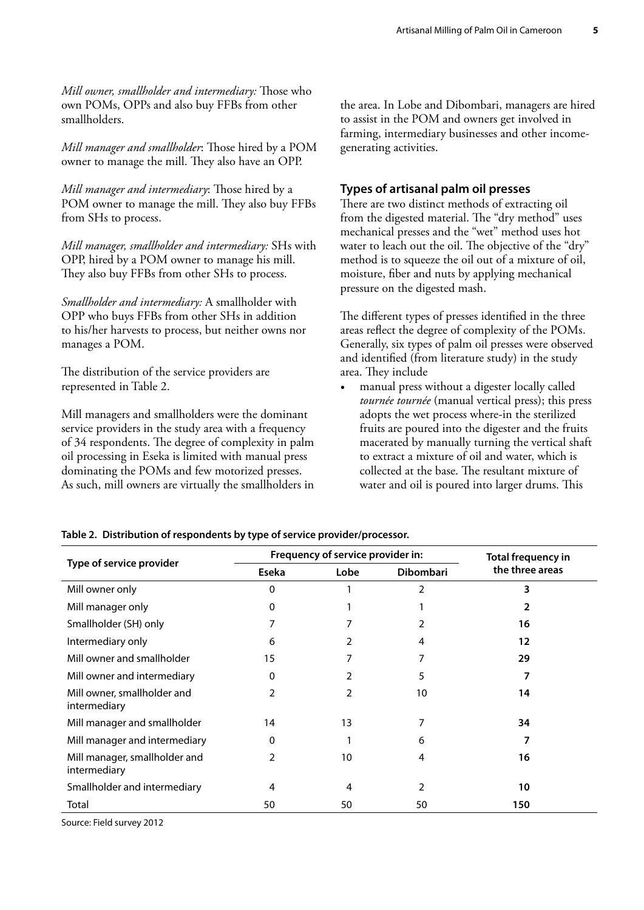*Mill owner, smallholder and intermediary:* Those who own POMs, OPPs and also buy FFBs from other smallholders.

*Mill manager and smallholder*: Those hired by a POM owner to manage the mill. They also have an OPP.

*Mill manager and intermediary*: Those hired by a POM owner to manage the mill. They also buy FFBs from SHs to process.

*Mill manager, smallholder and intermediary:* SHs with OPP, hired by a POM owner to manage his mill. They also buy FFBs from other SHs to process.

*Smallholder and intermediary:* A smallholder with OPP who buys FFBs from other SHs in addition to his/her harvests to process, but neither owns nor manages a POM.

The distribution of the service providers are represented in Table 2.

Mill managers and smallholders were the dominant service providers in the study area with a frequency of 34 respondents. The degree of complexity in palm oil processing in Eseka is limited with manual press dominating the POMs and few motorized presses. As such, mill owners are virtually the smallholders in

the area. In Lobe and Dibombari, managers are hired to assist in the POM and owners get involved in farming, intermediary businesses and other incomegenerating activities.

#### **Types of artisanal palm oil presses**

There are two distinct methods of extracting oil from the digested material. The "dry method" uses mechanical presses and the "wet" method uses hot water to leach out the oil. The objective of the "dry" method is to squeeze the oil out of a mixture of oil, moisture, fiber and nuts by applying mechanical pressure on the digested mash.

The different types of presses identified in the three areas reflect the degree of complexity of the POMs. Generally, six types of palm oil presses were observed and identified (from literature study) in the study area. They include

manual press without a digester locally called *tournée tournée* (manual vertical press); this press adopts the wet process where-in the sterilized fruits are poured into the digester and the fruits macerated by manually turning the vertical shaft to extract a mixture of oil and water, which is collected at the base. The resultant mixture of water and oil is poured into larger drums. This

|                                               |               | Frequency of service provider in: | Total frequency in |                 |
|-----------------------------------------------|---------------|-----------------------------------|--------------------|-----------------|
| Type of service provider                      | Eseka         | Lobe                              | <b>Dibombari</b>   | the three areas |
| Mill owner only                               | 0             |                                   | $\overline{2}$     | 3               |
| Mill manager only                             | 0             |                                   |                    |                 |
| Smallholder (SH) only                         |               |                                   | $\overline{2}$     | 16              |
| Intermediary only                             | 6             |                                   | 4                  | 12              |
| Mill owner and smallholder                    | 15            |                                   | 7                  | 29              |
| Mill owner and intermediary                   | 0             | 2                                 | 5                  | 7               |
| Mill owner, smallholder and<br>intermediary   | 2             | 2                                 | 10                 | 14              |
| Mill manager and smallholder                  | 14            | 13                                | 7                  | 34              |
| Mill manager and intermediary                 | 0             |                                   | 6                  |                 |
| Mill manager, smallholder and<br>intermediary | $\mathcal{P}$ | 10                                | 4                  | 16              |
| Smallholder and intermediary                  | 4             | 4                                 | 2                  | 10              |
| Total                                         | 50            | 50                                | 50                 | 150             |

#### **Table 2. Distribution of respondents by type of service provider/processor.**

Source: Field survey 2012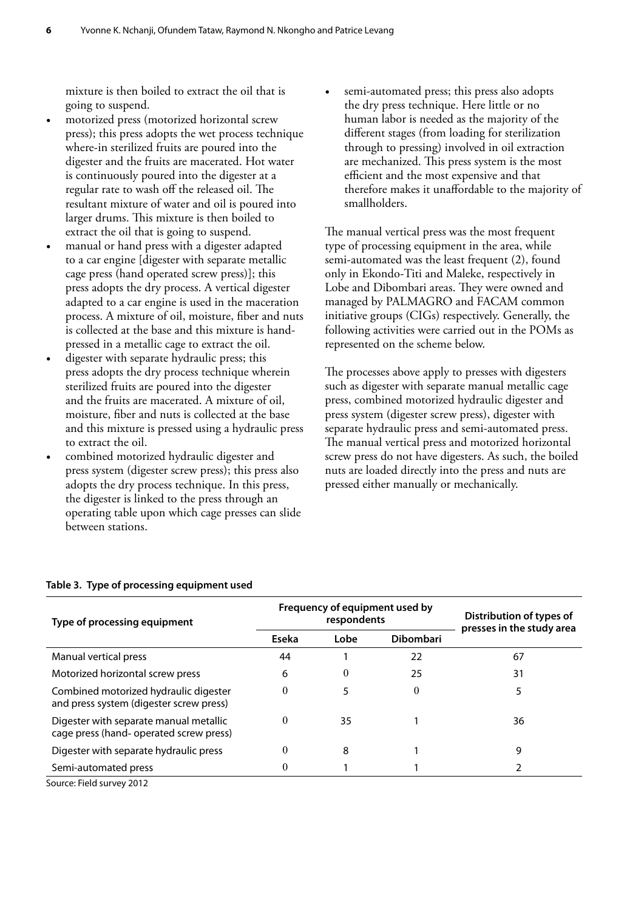mixture is then boiled to extract the oil that is going to suspend.

- motorized press (motorized horizontal screw press); this press adopts the wet process technique where-in sterilized fruits are poured into the digester and the fruits are macerated. Hot water is continuously poured into the digester at a regular rate to wash off the released oil. The resultant mixture of water and oil is poured into larger drums. This mixture is then boiled to extract the oil that is going to suspend.
- manual or hand press with a digester adapted to a car engine [digester with separate metallic cage press (hand operated screw press)]; this press adopts the dry process. A vertical digester adapted to a car engine is used in the maceration process. A mixture of oil, moisture, fiber and nuts is collected at the base and this mixture is handpressed in a metallic cage to extract the oil.
- digester with separate hydraulic press; this press adopts the dry process technique wherein sterilized fruits are poured into the digester and the fruits are macerated. A mixture of oil, moisture, fiber and nuts is collected at the base and this mixture is pressed using a hydraulic press to extract the oil.
- combined motorized hydraulic digester and press system (digester screw press); this press also adopts the dry process technique. In this press, the digester is linked to the press through an operating table upon which cage presses can slide between stations.

semi-automated press; this press also adopts the dry press technique. Here little or no human labor is needed as the majority of the different stages (from loading for sterilization through to pressing) involved in oil extraction are mechanized. This press system is the most efficient and the most expensive and that therefore makes it unaffordable to the majority of smallholders.

The manual vertical press was the most frequent type of processing equipment in the area, while semi-automated was the least frequent (2), found only in Ekondo-Titi and Maleke, respectively in Lobe and Dibombari areas. They were owned and managed by PALMAGRO and FACAM common initiative groups (CIGs) respectively. Generally, the following activities were carried out in the POMs as represented on the scheme below.

The processes above apply to presses with digesters such as digester with separate manual metallic cage press, combined motorized hydraulic digester and press system (digester screw press), digester with separate hydraulic press and semi-automated press. The manual vertical press and motorized horizontal screw press do not have digesters. As such, the boiled nuts are loaded directly into the press and nuts are pressed either manually or mechanically.

| Type of processing equipment                                                      |                                   | Frequency of equipment used by<br>respondents | Distribution of types of<br>presses in the study area |    |
|-----------------------------------------------------------------------------------|-----------------------------------|-----------------------------------------------|-------------------------------------------------------|----|
|                                                                                   | <b>Dibombari</b><br>Eseka<br>Lobe |                                               |                                                       |    |
| Manual vertical press                                                             | 44                                |                                               | 22                                                    | 67 |
| Motorized horizontal screw press                                                  | 6                                 | $\theta$                                      | 25                                                    | 31 |
| Combined motorized hydraulic digester<br>and press system (digester screw press)  | $\theta$                          | 5                                             | $\theta$                                              | 5  |
| Digester with separate manual metallic<br>cage press (hand- operated screw press) | $\theta$                          | 35                                            |                                                       | 36 |
| Digester with separate hydraulic press                                            | $\theta$                          | 8                                             |                                                       | 9  |
| Semi-automated press                                                              |                                   |                                               |                                                       |    |

#### **Table 3. Type of processing equipment used**

Source: Field survey 2012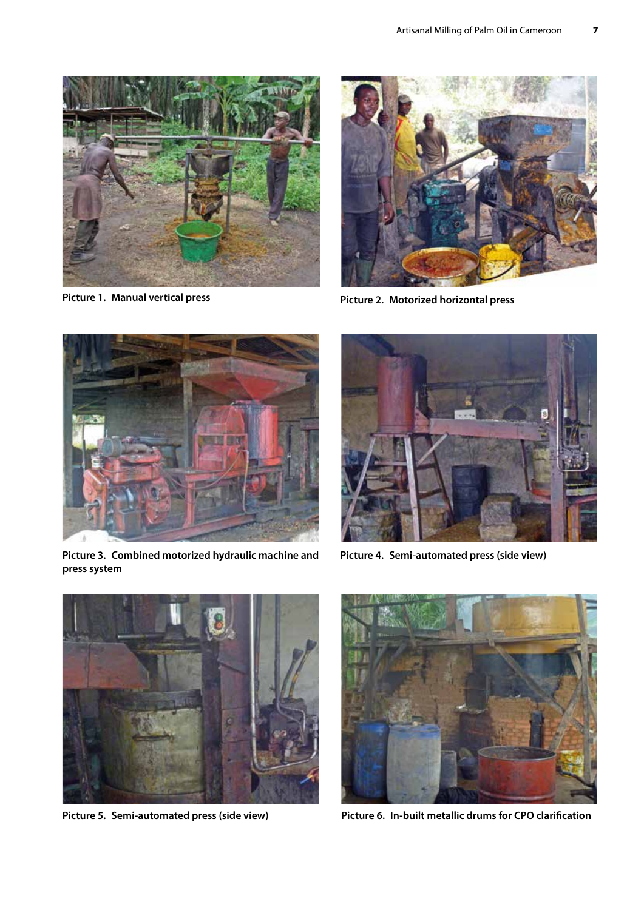

**Picture 1. Manual vertical press** 



**Picture 2. Motorized horizontal press**



**Picture 3. Combined motorized hydraulic machine and press system**



**Picture 4. Semi-automated press (side view)** 





**Picture 5. Semi-automated press (side view) Picture 6. In-built metallic drums for CPO clarification**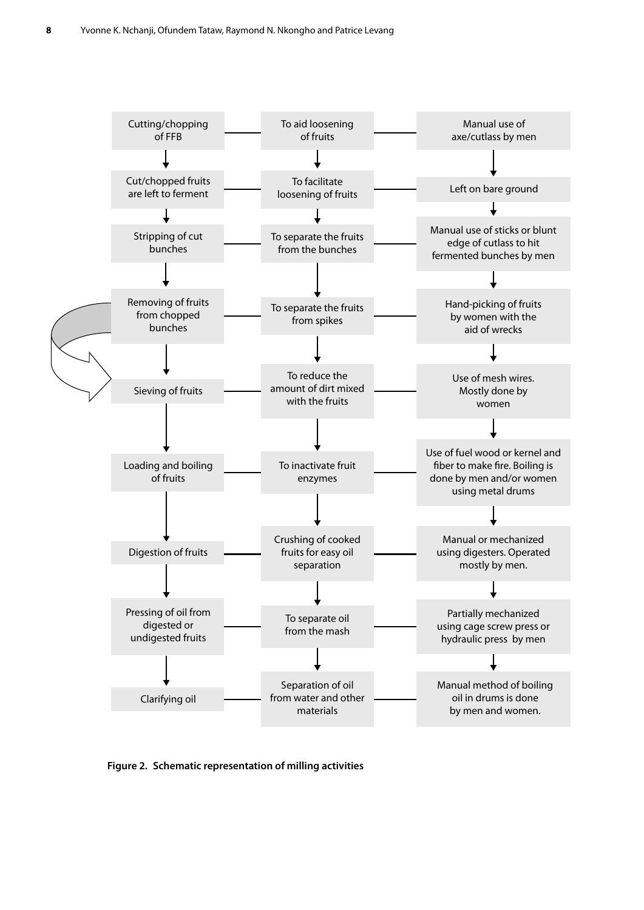

**Figure 2. Schematic representation of milling activities**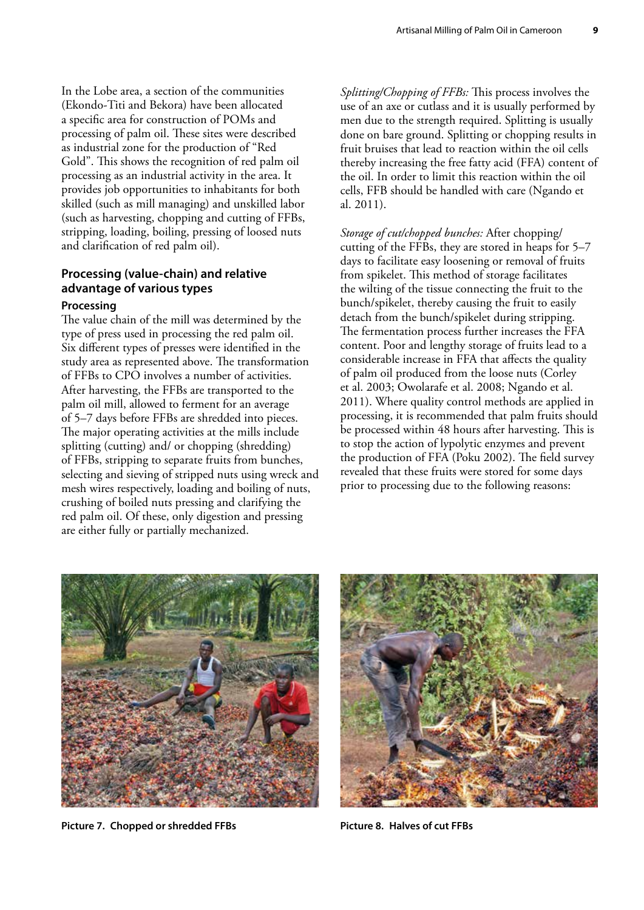In the Lobe area, a section of the communities (Ekondo-Titi and Bekora) have been allocated a specific area for construction of POMs and processing of palm oil. These sites were described as industrial zone for the production of "Red Gold". This shows the recognition of red palm oil processing as an industrial activity in the area. It provides job opportunities to inhabitants for both skilled (such as mill managing) and unskilled labor (such as harvesting, chopping and cutting of FFBs, stripping, loading, boiling, pressing of loosed nuts and clarification of red palm oil).

#### **Processing (value-chain) and relative advantage of various types**

#### **Processing**

The value chain of the mill was determined by the type of press used in processing the red palm oil. Six different types of presses were identified in the study area as represented above. The transformation of FFBs to CPO involves a number of activities. After harvesting, the FFBs are transported to the palm oil mill, allowed to ferment for an average of 5–7 days before FFBs are shredded into pieces. The major operating activities at the mills include splitting (cutting) and/ or chopping (shredding) of FFBs, stripping to separate fruits from bunches, selecting and sieving of stripped nuts using wreck and mesh wires respectively, loading and boiling of nuts, crushing of boiled nuts pressing and clarifying the red palm oil. Of these, only digestion and pressing are either fully or partially mechanized.

*Splitting/Chopping of FFBs:* This process involves the use of an axe or cutlass and it is usually performed by men due to the strength required. Splitting is usually done on bare ground. Splitting or chopping results in fruit bruises that lead to reaction within the oil cells thereby increasing the free fatty acid (FFA) content of the oil. In order to limit this reaction within the oil cells, FFB should be handled with care (Ngando et al. 2011).

*Storage of cut/chopped bunches:* After chopping/ cutting of the FFBs, they are stored in heaps for 5–7 days to facilitate easy loosening or removal of fruits from spikelet. This method of storage facilitates the wilting of the tissue connecting the fruit to the bunch/spikelet, thereby causing the fruit to easily detach from the bunch/spikelet during stripping. The fermentation process further increases the FFA content. Poor and lengthy storage of fruits lead to a considerable increase in FFA that affects the quality of palm oil produced from the loose nuts (Corley et al. 2003; Owolarafe et al. 2008; Ngando et al. 2011). Where quality control methods are applied in processing, it is recommended that palm fruits should be processed within 48 hours after harvesting. This is to stop the action of lypolytic enzymes and prevent the production of FFA (Poku 2002). The field survey revealed that these fruits were stored for some days prior to processing due to the following reasons:



**Picture 7. Chopped or shredded FFBs Picture 8. Halves of cut FFBs**

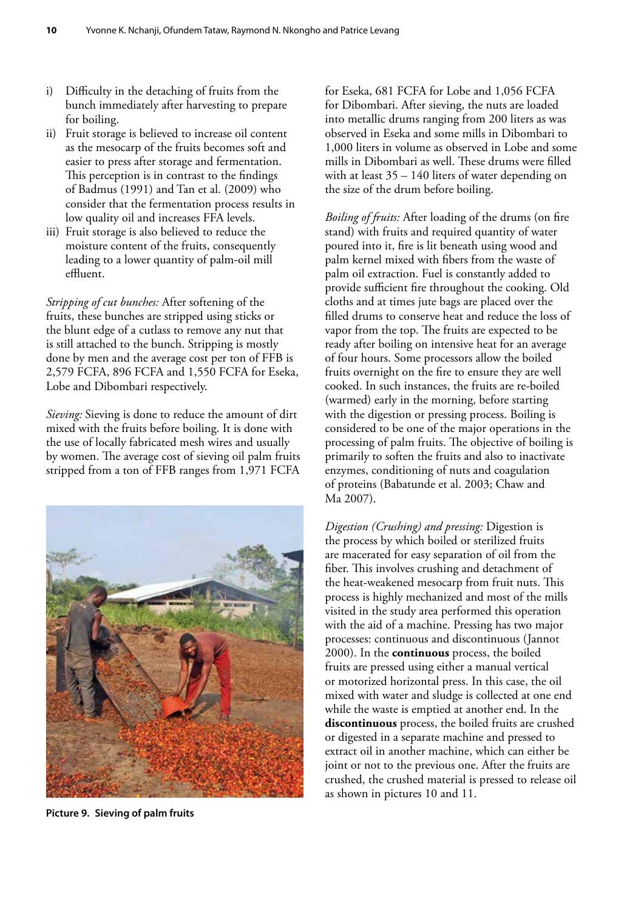- i) Difficulty in the detaching of fruits from the bunch immediately after harvesting to prepare for boiling.
- ii) Fruit storage is believed to increase oil content as the mesocarp of the fruits becomes soft and easier to press after storage and fermentation. This perception is in contrast to the findings of Badmus (1991) and Tan et al. (2009) who consider that the fermentation process results in low quality oil and increases FFA levels.
- iii) Fruit storage is also believed to reduce the moisture content of the fruits, consequently leading to a lower quantity of palm-oil mill effluent.

*Stripping of cut bunches:* After softening of the fruits, these bunches are stripped using sticks or the blunt edge of a cutlass to remove any nut that is still attached to the bunch. Stripping is mostly done by men and the average cost per ton of FFB is 2,579 FCFA, 896 FCFA and 1,550 FCFA for Eseka, Lobe and Dibombari respectively.

*Sieving:* Sieving is done to reduce the amount of dirt mixed with the fruits before boiling. It is done with the use of locally fabricated mesh wires and usually by women. The average cost of sieving oil palm fruits stripped from a ton of FFB ranges from 1,971 FCFA



**Picture 9. Sieving of palm fruits**

for Eseka, 681 FCFA for Lobe and 1,056 FCFA for Dibombari. After sieving, the nuts are loaded into metallic drums ranging from 200 liters as was observed in Eseka and some mills in Dibombari to 1,000 liters in volume as observed in Lobe and some mills in Dibombari as well. These drums were filled with at least  $35 - 140$  liters of water depending on the size of the drum before boiling.

*Boiling of fruits:* After loading of the drums (on fire stand) with fruits and required quantity of water poured into it, fire is lit beneath using wood and palm kernel mixed with fibers from the waste of palm oil extraction. Fuel is constantly added to provide sufficient fire throughout the cooking. Old cloths and at times jute bags are placed over the filled drums to conserve heat and reduce the loss of vapor from the top. The fruits are expected to be ready after boiling on intensive heat for an average of four hours. Some processors allow the boiled fruits overnight on the fire to ensure they are well cooked. In such instances, the fruits are re-boiled (warmed) early in the morning, before starting with the digestion or pressing process. Boiling is considered to be one of the major operations in the processing of palm fruits. The objective of boiling is primarily to soften the fruits and also to inactivate enzymes, conditioning of nuts and coagulation of proteins (Babatunde et al. 2003; Chaw and Ma 2007).

*Digestion (Crushing) and pressing:* Digestion is the process by which boiled or sterilized fruits are macerated for easy separation of oil from the fiber. This involves crushing and detachment of the heat-weakened mesocarp from fruit nuts. This process is highly mechanized and most of the mills visited in the study area performed this operation with the aid of a machine. Pressing has two major processes: continuous and discontinuous (Jannot 2000). In the **continuous** process, the boiled fruits are pressed using either a manual vertical or motorized horizontal press. In this case, the oil mixed with water and sludge is collected at one end while the waste is emptied at another end. In the **discontinuous** process, the boiled fruits are crushed or digested in a separate machine and pressed to extract oil in another machine, which can either be joint or not to the previous one. After the fruits are crushed, the crushed material is pressed to release oil as shown in pictures 10 and 11.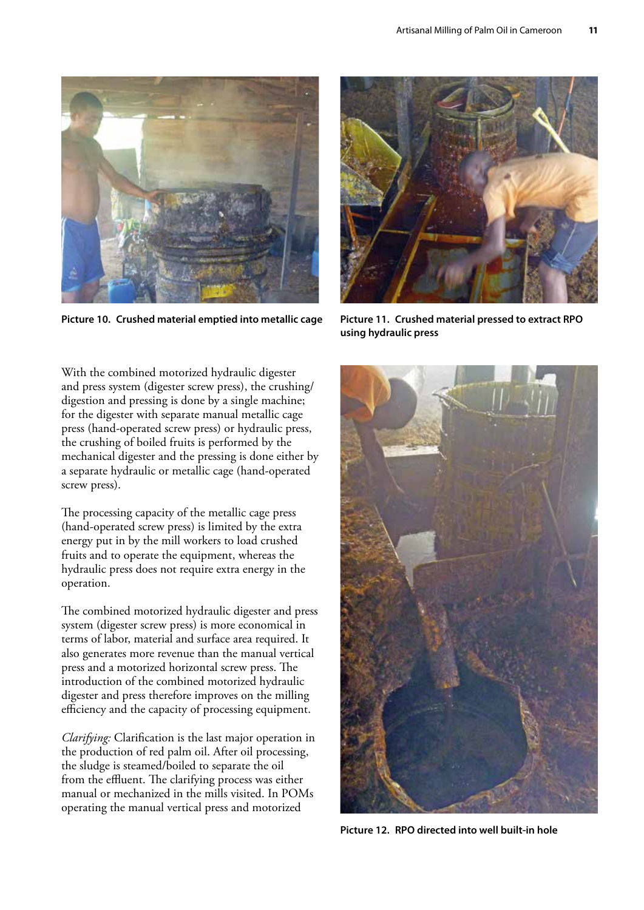

**Picture 10. Crushed material emptied into metallic cage Picture 11. Crushed material pressed to extract RPO** 



**using hydraulic press** 

With the combined motorized hydraulic digester and press system (digester screw press), the crushing/ digestion and pressing is done by a single machine; for the digester with separate manual metallic cage press (hand-operated screw press) or hydraulic press, the crushing of boiled fruits is performed by the mechanical digester and the pressing is done either by a separate hydraulic or metallic cage (hand-operated screw press).

The processing capacity of the metallic cage press (hand-operated screw press) is limited by the extra energy put in by the mill workers to load crushed fruits and to operate the equipment, whereas the hydraulic press does not require extra energy in the operation.

The combined motorized hydraulic digester and press system (digester screw press) is more economical in terms of labor, material and surface area required. It also generates more revenue than the manual vertical press and a motorized horizontal screw press. The introduction of the combined motorized hydraulic digester and press therefore improves on the milling efficiency and the capacity of processing equipment.

*Clarifying:* Clarification is the last major operation in the production of red palm oil. After oil processing, the sludge is steamed/boiled to separate the oil from the effluent. The clarifying process was either manual or mechanized in the mills visited. In POMs operating the manual vertical press and motorized



**Picture 12. RPO directed into well built-in hole**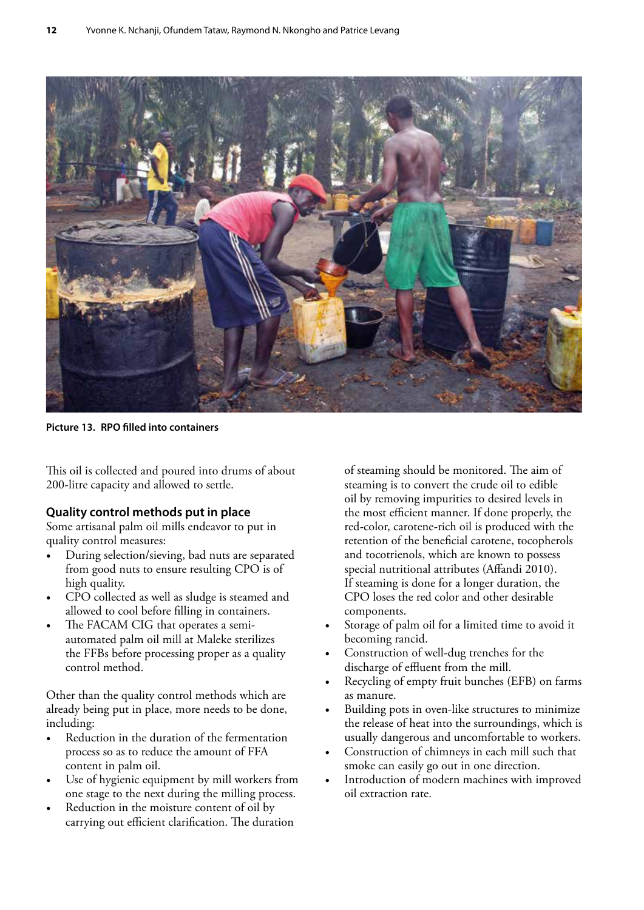

**Picture 13. RPO filled into containers** 

This oil is collected and poured into drums of about 200-litre capacity and allowed to settle.

#### **Quality control methods put in place**

Some artisanal palm oil mills endeavor to put in quality control measures:

- During selection/sieving, bad nuts are separated from good nuts to ensure resulting CPO is of high quality.
- CPO collected as well as sludge is steamed and allowed to cool before filling in containers.
- The FACAM CIG that operates a semiautomated palm oil mill at Maleke sterilizes the FFBs before processing proper as a quality control method.

Other than the quality control methods which are already being put in place, more needs to be done, including:

- Reduction in the duration of the fermentation process so as to reduce the amount of FFA content in palm oil.
- Use of hygienic equipment by mill workers from one stage to the next during the milling process.
- Reduction in the moisture content of oil by carrying out efficient clarification. The duration

of steaming should be monitored. The aim of steaming is to convert the crude oil to edible oil by removing impurities to desired levels in the most efficient manner. If done properly, the red-color, carotene-rich oil is produced with the retention of the beneficial carotene, tocopherols and tocotrienols, which are known to possess special nutritional attributes (Affandi 2010). If steaming is done for a longer duration, the CPO loses the red color and other desirable components.

- Storage of palm oil for a limited time to avoid it becoming rancid.
- Construction of well-dug trenches for the discharge of effluent from the mill.
- Recycling of empty fruit bunches (EFB) on farms as manure.
- Building pots in oven-like structures to minimize the release of heat into the surroundings, which is usually dangerous and uncomfortable to workers.
- Construction of chimneys in each mill such that smoke can easily go out in one direction.
- Introduction of modern machines with improved oil extraction rate.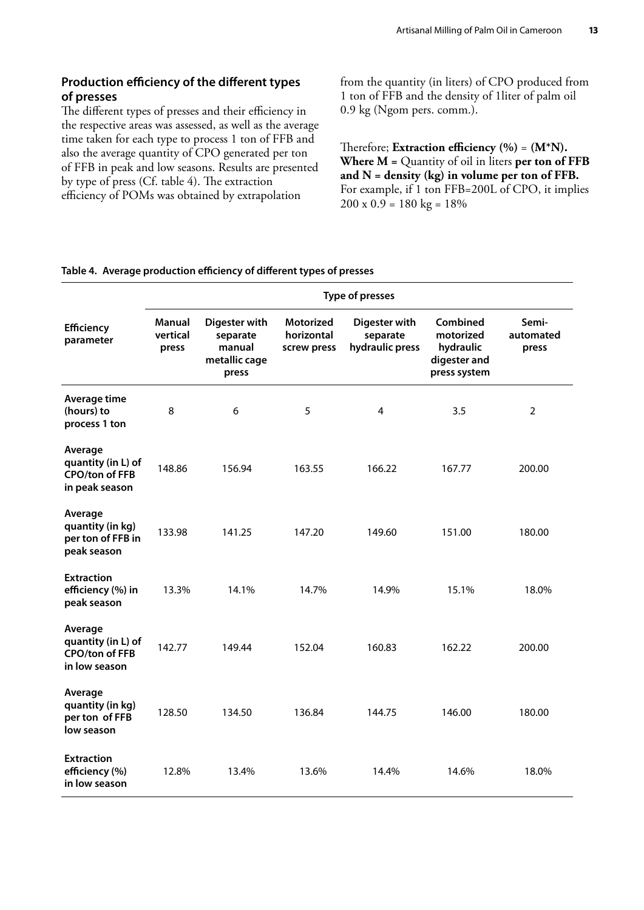#### **Production efficiency of the different types of presses**

The different types of presses and their efficiency in the respective areas was assessed, as well as the average time taken for each type to process 1 ton of FFB and also the average quantity of CPO generated per ton of FFB in peak and low seasons. Results are presented by type of press (Cf. table 4). The extraction efficiency of POMs was obtained by extrapolation

from the quantity (in liters) of CPO produced from 1 ton of FFB and the density of 1liter of palm oil 0.9 kg (Ngom pers. comm.).

Therefore; **Extraction efficiency (%)** = **(M\*N). Where M =** Quantity of oil in liters **per ton of FFB and N = density (kg) in volume per ton of FFB.**  For example, if 1 ton FFB=200L of CPO, it implies  $200 \times 0.9 = 180 \text{ kg} = 18\%$ 

#### **Table 4. Average production efficiency of different types of presses**

|                                                                          | Type of presses                    |                                                               |                                               |                                              |                                                                    |                             |  |  |
|--------------------------------------------------------------------------|------------------------------------|---------------------------------------------------------------|-----------------------------------------------|----------------------------------------------|--------------------------------------------------------------------|-----------------------------|--|--|
| <b>Efficiency</b><br>parameter                                           | <b>Manual</b><br>vertical<br>press | Digester with<br>separate<br>manual<br>metallic cage<br>press | <b>Motorized</b><br>horizontal<br>screw press | Digester with<br>separate<br>hydraulic press | Combined<br>motorized<br>hydraulic<br>digester and<br>press system | Semi-<br>automated<br>press |  |  |
| Average time<br>(hours) to<br>process 1 ton                              | 8                                  | 6                                                             | 5                                             | 4                                            | 3.5                                                                | $\overline{2}$              |  |  |
| Average<br>quantity (in L) of<br><b>CPO/ton of FFB</b><br>in peak season | 148.86                             | 156.94                                                        | 163.55                                        | 166.22                                       | 167.77                                                             | 200.00                      |  |  |
| Average<br>quantity (in kg)<br>per ton of FFB in<br>peak season          | 133.98                             | 141.25                                                        | 147.20                                        | 149.60                                       | 151.00                                                             | 180.00                      |  |  |
| <b>Extraction</b><br>efficiency (%) in<br>peak season                    | 13.3%                              | 14.1%                                                         | 14.7%                                         | 14.9%                                        | 15.1%                                                              | 18.0%                       |  |  |
| Average<br>quantity (in L) of<br><b>CPO/ton of FFB</b><br>in low season  | 142.77                             | 149.44                                                        | 152.04                                        | 160.83                                       | 162.22                                                             | 200.00                      |  |  |
| Average<br>quantity (in kg)<br>per ton of FFB<br>low season              | 128.50                             | 134.50                                                        | 136.84                                        | 144.75                                       | 146.00                                                             | 180.00                      |  |  |
| <b>Extraction</b><br>efficiency (%)<br>in low season                     | 12.8%                              | 13.4%                                                         | 13.6%                                         | 14.4%                                        | 14.6%                                                              | 18.0%                       |  |  |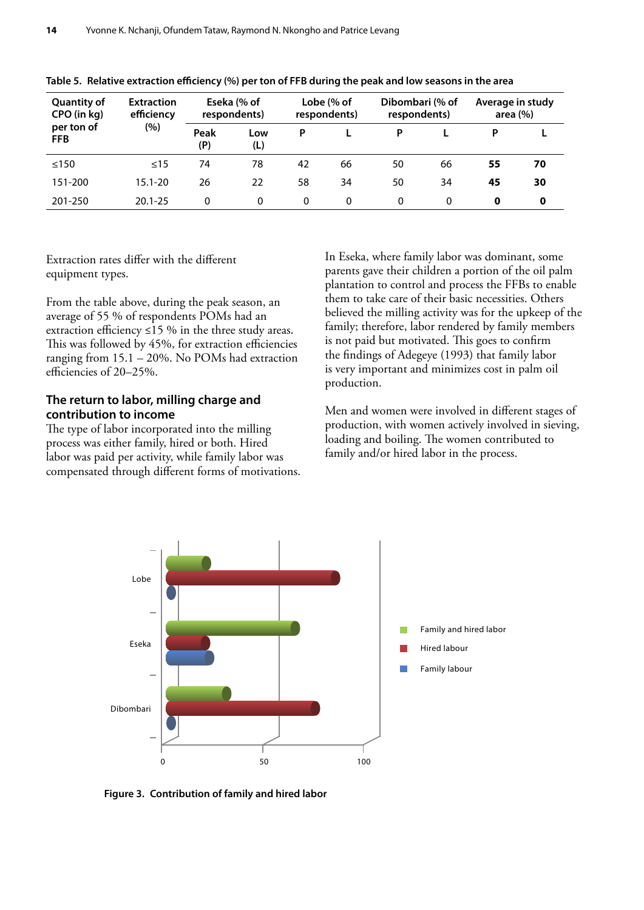| <b>Quantity of</b><br>CPO (in kg) | <b>Extraction</b><br>efficiency |             | Eseka (% of<br>respondents) |          | Lobe (% of<br>respondents) | Dibombari (% of<br>respondents) |          | Average in study<br>area $(%)$ |             |
|-----------------------------------|---------------------------------|-------------|-----------------------------|----------|----------------------------|---------------------------------|----------|--------------------------------|-------------|
| per ton of<br><b>FFB</b>          | (%)                             | Peak<br>(P) | Low<br>(L)                  | P        |                            | P                               |          | P                              |             |
| ≤150                              | $\leq$ 15                       | 74          | 78                          | 42       | 66                         | 50                              | 66       | 55                             | 70          |
| 151-200                           | $15.1 - 20$                     | 26          | 22                          | 58       | 34                         | 50                              | 34       | 45                             | 30          |
| 201-250                           | $20.1 - 25$                     | 0           | $\Omega$                    | $\Omega$ | 0                          | 0                               | $\Omega$ | 0                              | $\mathbf 0$ |

#### **Table 5. Relative extraction efficiency (%) per ton of FFB during the peak and low seasons in the area**

Extraction rates differ with the different equipment types.

From the table above, during the peak season, an average of 55 % of respondents POMs had an extraction efficiency  $\leq$ 15 % in the three study areas. This was followed by 45%, for extraction efficiencies ranging from 15.1 – 20%. No POMs had extraction efficiencies of 20–25%.

#### **The return to labor, milling charge and contribution to income**

The type of labor incorporated into the milling process was either family, hired or both. Hired labor was paid per activity, while family labor was compensated through different forms of motivations. In Eseka, where family labor was dominant, some parents gave their children a portion of the oil palm plantation to control and process the FFBs to enable them to take care of their basic necessities. Others believed the milling activity was for the upkeep of the family; therefore, labor rendered by family members is not paid but motivated. This goes to confirm the findings of Adegeye (1993) that family labor is very important and minimizes cost in palm oil production.

Men and women were involved in different stages of production, with women actively involved in sieving, loading and boiling. The women contributed to family and/or hired labor in the process.



**Figure 3. Contribution of family and hired labor**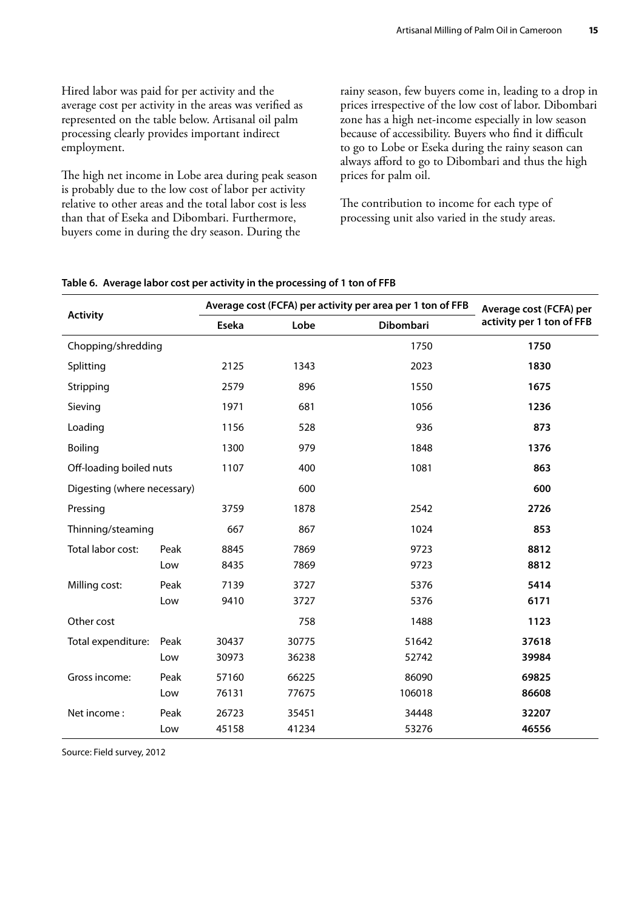Hired labor was paid for per activity and the average cost per activity in the areas was verified as represented on the table below. Artisanal oil palm processing clearly provides important indirect employment.

The high net income in Lobe area during peak season is probably due to the low cost of labor per activity relative to other areas and the total labor cost is less than that of Eseka and Dibombari. Furthermore, buyers come in during the dry season. During the

rainy season, few buyers come in, leading to a drop in prices irrespective of the low cost of labor. Dibombari zone has a high net-income especially in low season because of accessibility. Buyers who find it difficult to go to Lobe or Eseka during the rainy season can always afford to go to Dibombari and thus the high prices for palm oil.

The contribution to income for each type of processing unit also varied in the study areas.

|                             |      |       | Average cost (FCFA) per activity per area per 1 ton of FFB | Average cost (FCFA) per |                           |
|-----------------------------|------|-------|------------------------------------------------------------|-------------------------|---------------------------|
| <b>Activity</b>             |      | Eseka | Lobe                                                       | <b>Dibombari</b>        | activity per 1 ton of FFB |
| Chopping/shredding          |      |       |                                                            | 1750                    | 1750                      |
| Splitting                   |      | 2125  | 1343                                                       | 2023                    | 1830                      |
| Stripping                   |      | 2579  | 896                                                        | 1550                    | 1675                      |
| Sieving                     |      | 1971  | 681                                                        | 1056                    | 1236                      |
| Loading                     |      | 1156  | 528                                                        | 936                     | 873                       |
| Boiling                     |      | 1300  | 979                                                        | 1848                    | 1376                      |
| Off-loading boiled nuts     |      | 1107  | 400                                                        | 1081                    | 863                       |
| Digesting (where necessary) |      |       | 600                                                        |                         | 600                       |
| Pressing                    |      | 3759  | 1878                                                       | 2542                    | 2726                      |
| Thinning/steaming           |      | 667   | 867                                                        | 1024                    | 853                       |
| Total labor cost:           | Peak | 8845  | 7869                                                       | 9723                    | 8812                      |
|                             | Low  | 8435  | 7869                                                       | 9723                    | 8812                      |
| Milling cost:               | Peak | 7139  | 3727                                                       | 5376                    | 5414                      |
|                             | Low  | 9410  | 3727                                                       | 5376                    | 6171                      |
| Other cost                  |      |       | 758                                                        | 1488                    | 1123                      |
| Total expenditure:          | Peak | 30437 | 30775                                                      | 51642                   | 37618                     |
|                             | Low  | 30973 | 36238                                                      | 52742                   | 39984                     |
| Gross income:               | Peak | 57160 | 66225                                                      | 86090                   | 69825                     |
|                             | Low  | 76131 | 77675                                                      | 106018                  | 86608                     |
| Net income:                 | Peak | 26723 | 35451                                                      | 34448                   | 32207                     |
|                             | Low  | 45158 | 41234                                                      | 53276                   | 46556                     |

#### **Table 6. Average labor cost per activity in the processing of 1 ton of FFB**

Source: Field survey, 2012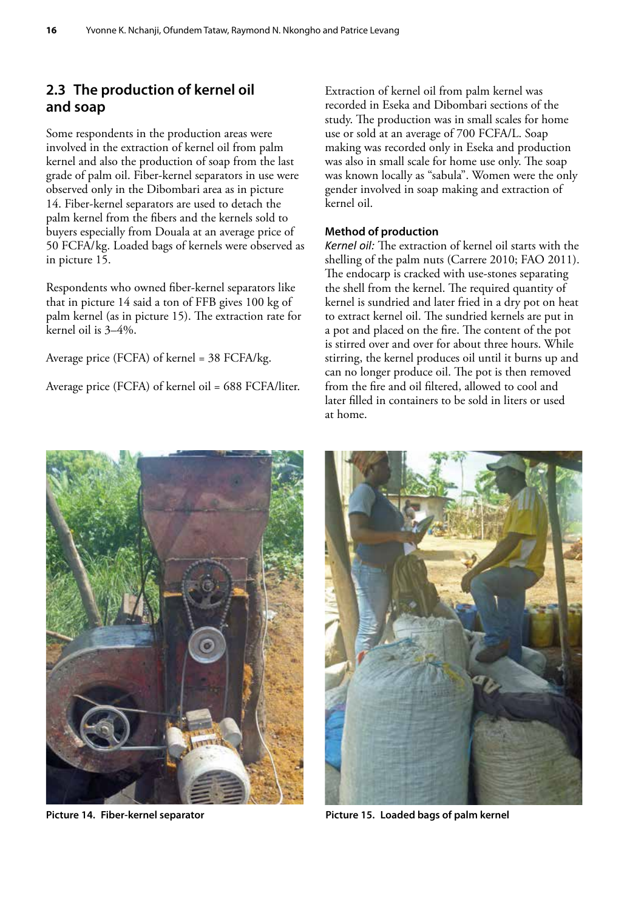#### <span id="page-24-0"></span>**2.3 The production of kernel oil and soap**

Some respondents in the production areas were involved in the extraction of kernel oil from palm kernel and also the production of soap from the last grade of palm oil. Fiber-kernel separators in use were observed only in the Dibombari area as in picture 14. Fiber-kernel separators are used to detach the palm kernel from the fibers and the kernels sold to buyers especially from Douala at an average price of 50 FCFA/kg. Loaded bags of kernels were observed as in picture 15.

Respondents who owned fiber-kernel separators like that in picture 14 said a ton of FFB gives 100 kg of palm kernel (as in picture 15). The extraction rate for kernel oil is 3–4%.

Average price (FCFA) of kernel = 38 FCFA/kg.

Average price (FCFA) of kernel oil = 688 FCFA/liter.

Extraction of kernel oil from palm kernel was recorded in Eseka and Dibombari sections of the study. The production was in small scales for home use or sold at an average of 700 FCFA/L. Soap making was recorded only in Eseka and production was also in small scale for home use only. The soap was known locally as "sabula". Women were the only gender involved in soap making and extraction of kernel oil.

#### **Method of production**

*Kernel oil:* The extraction of kernel oil starts with the shelling of the palm nuts (Carrere 2010; FAO 2011). The endocarp is cracked with use-stones separating the shell from the kernel. The required quantity of kernel is sundried and later fried in a dry pot on heat to extract kernel oil. The sundried kernels are put in a pot and placed on the fire. The content of the pot is stirred over and over for about three hours. While stirring, the kernel produces oil until it burns up and can no longer produce oil. The pot is then removed from the fire and oil filtered, allowed to cool and later filled in containers to be sold in liters or used at home.





Picture 14. Fiber-kernel separator **Picture 15. Loaded bags of palm kernel**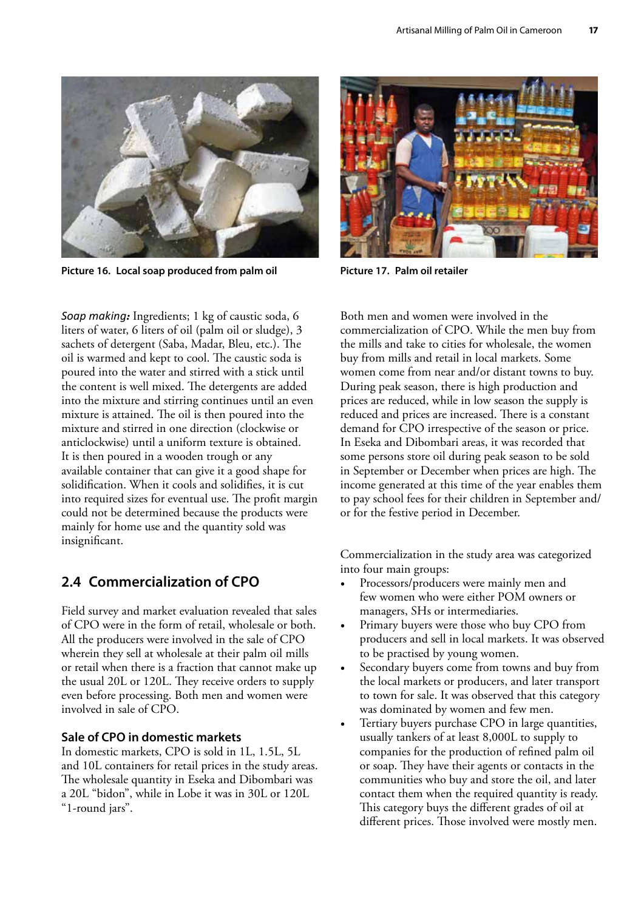<span id="page-25-0"></span>

**Picture 16. Local soap produced from palm oil Picture 17. Palm oil retailer**

*Soap making:* Ingredients; 1 kg of caustic soda, 6 liters of water, 6 liters of oil (palm oil or sludge), 3 sachets of detergent (Saba, Madar, Bleu, etc.). The oil is warmed and kept to cool. The caustic soda is poured into the water and stirred with a stick until the content is well mixed. The detergents are added into the mixture and stirring continues until an even mixture is attained. The oil is then poured into the mixture and stirred in one direction (clockwise or anticlockwise) until a uniform texture is obtained. It is then poured in a wooden trough or any available container that can give it a good shape for solidification. When it cools and solidifies, it is cut into required sizes for eventual use. The profit margin could not be determined because the products were mainly for home use and the quantity sold was insignificant.

#### **2.4 Commercialization of CPO**

Field survey and market evaluation revealed that sales of CPO were in the form of retail, wholesale or both. All the producers were involved in the sale of CPO wherein they sell at wholesale at their palm oil mills or retail when there is a fraction that cannot make up the usual 20L or 120L. They receive orders to supply even before processing. Both men and women were involved in sale of CPO.

#### **Sale of CPO in domestic markets**

In domestic markets, CPO is sold in 1L, 1.5L, 5L and 10L containers for retail prices in the study areas. The wholesale quantity in Eseka and Dibombari was a 20L "bidon", while in Lobe it was in 30L or 120L "1-round jars".



Both men and women were involved in the commercialization of CPO. While the men buy from the mills and take to cities for wholesale, the women buy from mills and retail in local markets. Some women come from near and/or distant towns to buy. During peak season, there is high production and prices are reduced, while in low season the supply is reduced and prices are increased. There is a constant demand for CPO irrespective of the season or price. In Eseka and Dibombari areas, it was recorded that some persons store oil during peak season to be sold in September or December when prices are high. The income generated at this time of the year enables them to pay school fees for their children in September and/ or for the festive period in December.

Commercialization in the study area was categorized into four main groups:

- Processors/producers were mainly men and few women who were either POM owners or managers, SHs or intermediaries.
- Primary buyers were those who buy CPO from producers and sell in local markets. It was observed to be practised by young women.
- Secondary buyers come from towns and buy from the local markets or producers, and later transport to town for sale. It was observed that this category was dominated by women and few men.
- Tertiary buyers purchase CPO in large quantities, usually tankers of at least 8,000L to supply to companies for the production of refined palm oil or soap. They have their agents or contacts in the communities who buy and store the oil, and later contact them when the required quantity is ready. This category buys the different grades of oil at different prices. Those involved were mostly men.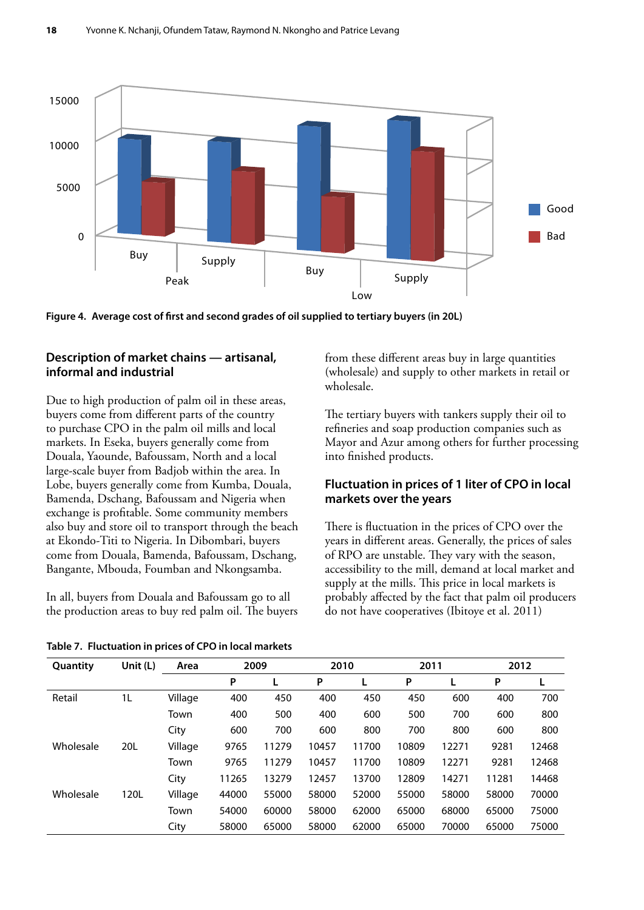

**Figure 4. Average cost of first and second grades of oil supplied to tertiary buyers (in 20L)** 

#### **Description of market chains — artisanal, informal and industrial**

Due to high production of palm oil in these areas, buyers come from different parts of the country to purchase CPO in the palm oil mills and local markets. In Eseka, buyers generally come from Douala, Yaounde, Bafoussam, North and a local large-scale buyer from Badjob within the area. In Lobe, buyers generally come from Kumba, Douala, Bamenda, Dschang, Bafoussam and Nigeria when exchange is profitable. Some community members also buy and store oil to transport through the beach at Ekondo-Titi to Nigeria. In Dibombari, buyers come from Douala, Bamenda, Bafoussam, Dschang, Bangante, Mbouda, Foumban and Nkongsamba.

In all, buyers from Douala and Bafoussam go to all the production areas to buy red palm oil. The buyers

**Table 7. Fluctuation in prices of CPO in local markets**

from these different areas buy in large quantities (wholesale) and supply to other markets in retail or wholesale.

The tertiary buyers with tankers supply their oil to refineries and soap production companies such as Mayor and Azur among others for further processing into finished products.

#### **Fluctuation in prices of 1 liter of CPO in local markets over the years**

There is fluctuation in the prices of CPO over the years in different areas. Generally, the prices of sales of RPO are unstable. They vary with the season, accessibility to the mill, demand at local market and supply at the mills. This price in local markets is probably affected by the fact that palm oil producers do not have cooperatives (Ibitoye et al. 2011)

| Quantity  | Unit (L)       | Area    | 2009  |       | 2010  |       | 2011  |       | 2012  |       |
|-----------|----------------|---------|-------|-------|-------|-------|-------|-------|-------|-------|
|           |                |         | P     |       | P     | L     | P     |       | P     |       |
| Retail    | 1 <sub>L</sub> | Village | 400   | 450   | 400   | 450   | 450   | 600   | 400   | 700   |
|           |                | Town    | 400   | 500   | 400   | 600   | 500   | 700   | 600   | 800   |
|           |                | City    | 600   | 700   | 600   | 800   | 700   | 800   | 600   | 800   |
| Wholesale | 20L            | Village | 9765  | 11279 | 10457 | 11700 | 10809 | 12271 | 9281  | 12468 |
|           |                | Town    | 9765  | 11279 | 10457 | 11700 | 10809 | 12271 | 9281  | 12468 |
|           |                | City    | 11265 | 13279 | 12457 | 13700 | 12809 | 14271 | 11281 | 14468 |
| Wholesale | 120L           | Village | 44000 | 55000 | 58000 | 52000 | 55000 | 58000 | 58000 | 70000 |
|           |                | Town    | 54000 | 60000 | 58000 | 62000 | 65000 | 68000 | 65000 | 75000 |
|           |                | City    | 58000 | 65000 | 58000 | 62000 | 65000 | 70000 | 65000 | 75000 |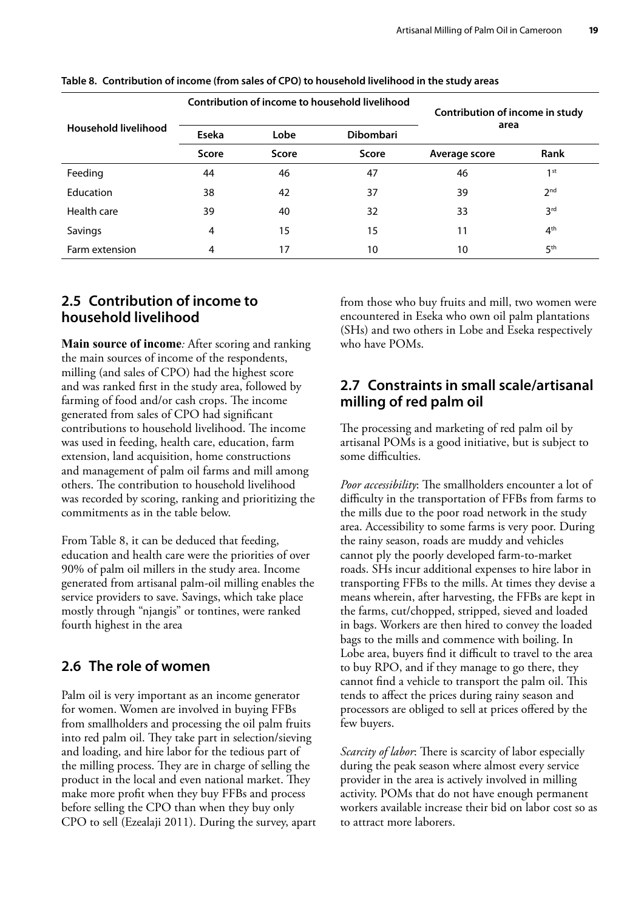|                      |              | Contribution of income to household livelihood | Contribution of income in study |               |                 |  |
|----------------------|--------------|------------------------------------------------|---------------------------------|---------------|-----------------|--|
| Household livelihood | Eseka        | Lobe                                           | <b>Dibombari</b>                | area          |                 |  |
|                      | <b>Score</b> | Score                                          | <b>Score</b>                    | Average score | Rank            |  |
| Feeding              | 44           | 46                                             | 47                              | 46            | 1 <sup>st</sup> |  |
| Education            | 38           | 42                                             | 37                              | 39            | 2 <sub>nd</sub> |  |
| Health care          | 39           | 40                                             | 32                              | 33            | 3 <sup>rd</sup> |  |
| Savings              | 4            | 15                                             | 15                              | 11            | 4 <sup>th</sup> |  |
| Farm extension       | 4            | 17                                             | 10                              | 10            | 5 <sup>th</sup> |  |

<span id="page-27-0"></span>**Table 8. Contribution of income (from sales of CPO) to household livelihood in the study areas**

#### **2.5 Contribution of income to household livelihood**

**Main source of income***:* After scoring and ranking the main sources of income of the respondents, milling (and sales of CPO) had the highest score and was ranked first in the study area, followed by farming of food and/or cash crops. The income generated from sales of CPO had significant contributions to household livelihood. The income was used in feeding, health care, education, farm extension, land acquisition, home constructions and management of palm oil farms and mill among others. The contribution to household livelihood was recorded by scoring, ranking and prioritizing the commitments as in the table below.

From Table 8, it can be deduced that feeding, education and health care were the priorities of over 90% of palm oil millers in the study area. Income generated from artisanal palm-oil milling enables the service providers to save. Savings, which take place mostly through "njangis" or tontines, were ranked fourth highest in the area

#### **2.6 The role of women**

Palm oil is very important as an income generator for women. Women are involved in buying FFBs from smallholders and processing the oil palm fruits into red palm oil. They take part in selection/sieving and loading, and hire labor for the tedious part of the milling process. They are in charge of selling the product in the local and even national market. They make more profit when they buy FFBs and process before selling the CPO than when they buy only CPO to sell (Ezealaji 2011). During the survey, apart from those who buy fruits and mill, two women were encountered in Eseka who own oil palm plantations (SHs) and two others in Lobe and Eseka respectively who have POMs.

#### **2.7 Constraints in small scale/artisanal milling of red palm oil**

The processing and marketing of red palm oil by artisanal POMs is a good initiative, but is subject to some difficulties.

*Poor accessibility*: The smallholders encounter a lot of difficulty in the transportation of FFBs from farms to the mills due to the poor road network in the study area. Accessibility to some farms is very poor. During the rainy season, roads are muddy and vehicles cannot ply the poorly developed farm-to-market roads. SHs incur additional expenses to hire labor in transporting FFBs to the mills. At times they devise a means wherein, after harvesting, the FFBs are kept in the farms, cut/chopped, stripped, sieved and loaded in bags. Workers are then hired to convey the loaded bags to the mills and commence with boiling. In Lobe area, buyers find it difficult to travel to the area to buy RPO, and if they manage to go there, they cannot find a vehicle to transport the palm oil. This tends to affect the prices during rainy season and processors are obliged to sell at prices offered by the few buyers.

*Scarcity of labor*: There is scarcity of labor especially during the peak season where almost every service provider in the area is actively involved in milling activity. POMs that do not have enough permanent workers available increase their bid on labor cost so as to attract more laborers.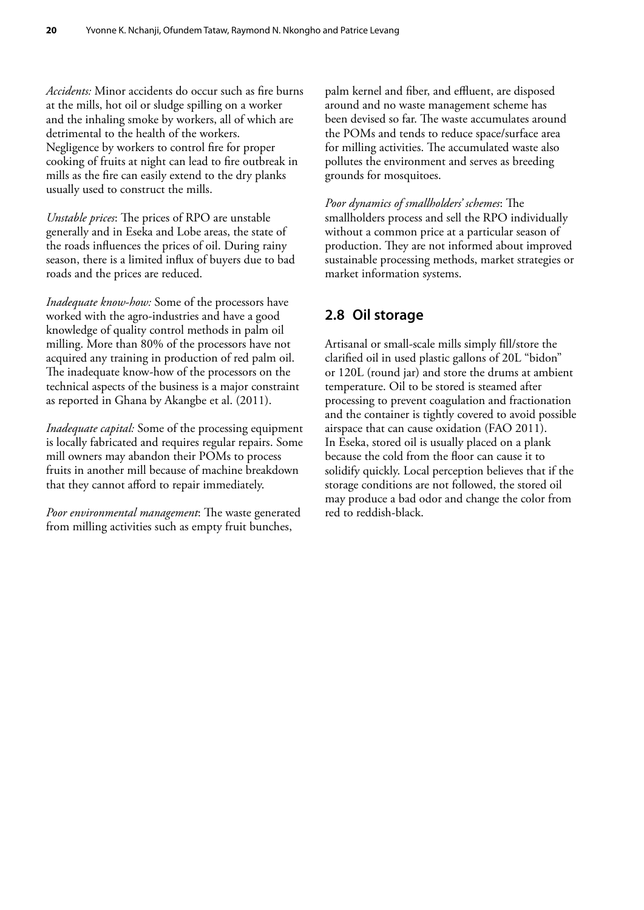<span id="page-28-0"></span>*Accidents:* Minor accidents do occur such as fire burns at the mills, hot oil or sludge spilling on a worker and the inhaling smoke by workers, all of which are detrimental to the health of the workers. Negligence by workers to control fire for proper cooking of fruits at night can lead to fire outbreak in mills as the fire can easily extend to the dry planks usually used to construct the mills.

*Unstable prices*: The prices of RPO are unstable generally and in Eseka and Lobe areas, the state of the roads influences the prices of oil. During rainy season, there is a limited influx of buyers due to bad roads and the prices are reduced.

*Inadequate know-how:* Some of the processors have worked with the agro-industries and have a good knowledge of quality control methods in palm oil milling. More than 80% of the processors have not acquired any training in production of red palm oil. The inadequate know-how of the processors on the technical aspects of the business is a major constraint as reported in Ghana by Akangbe et al. (2011).

*Inadequate capital:* Some of the processing equipment is locally fabricated and requires regular repairs. Some mill owners may abandon their POMs to process fruits in another mill because of machine breakdown that they cannot afford to repair immediately.

*Poor environmental management*: The waste generated from milling activities such as empty fruit bunches,

palm kernel and fiber, and effluent, are disposed around and no waste management scheme has been devised so far. The waste accumulates around the POMs and tends to reduce space/surface area for milling activities. The accumulated waste also pollutes the environment and serves as breeding grounds for mosquitoes.

*Poor dynamics of smallholders' schemes*: The smallholders process and sell the RPO individually without a common price at a particular season of production. They are not informed about improved sustainable processing methods, market strategies or market information systems.

#### **2.8 Oil storage**

Artisanal or small-scale mills simply fill/store the clarified oil in used plastic gallons of 20L "bidon" or 120L (round jar) and store the drums at ambient temperature. Oil to be stored is steamed after processing to prevent coagulation and fractionation and the container is tightly covered to avoid possible airspace that can cause oxidation (FAO 2011). In Eseka, stored oil is usually placed on a plank because the cold from the floor can cause it to solidify quickly. Local perception believes that if the storage conditions are not followed, the stored oil may produce a bad odor and change the color from red to reddish-black.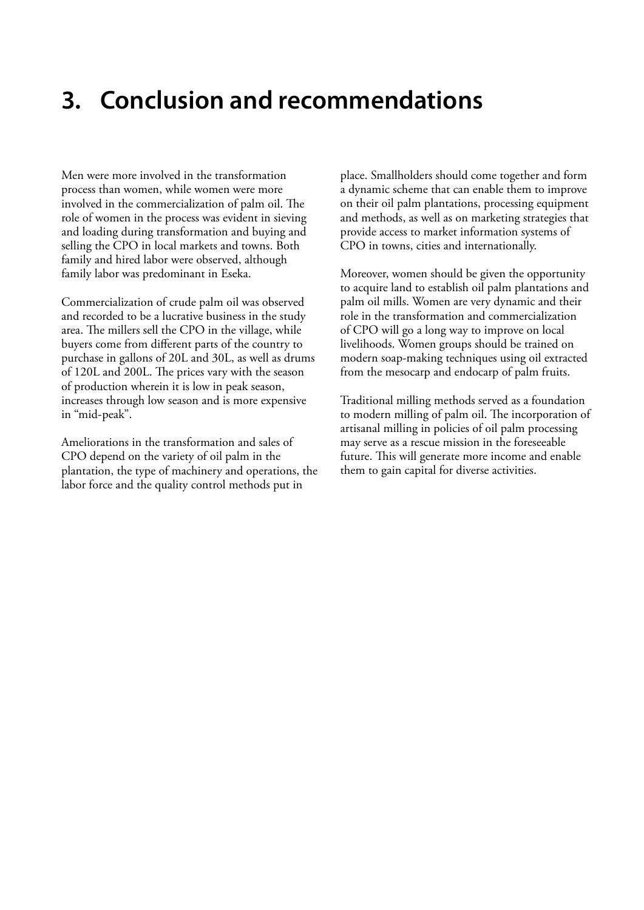### <span id="page-29-0"></span>**3. Conclusion and recommendations**

Men were more involved in the transformation process than women, while women were more involved in the commercialization of palm oil. The role of women in the process was evident in sieving and loading during transformation and buying and selling the CPO in local markets and towns. Both family and hired labor were observed, although family labor was predominant in Eseka.

Commercialization of crude palm oil was observed and recorded to be a lucrative business in the study area. The millers sell the CPO in the village, while buyers come from different parts of the country to purchase in gallons of 20L and 30L, as well as drums of 120L and 200L. The prices vary with the season of production wherein it is low in peak season, increases through low season and is more expensive in "mid-peak".

Ameliorations in the transformation and sales of CPO depend on the variety of oil palm in the plantation, the type of machinery and operations, the labor force and the quality control methods put in

place. Smallholders should come together and form a dynamic scheme that can enable them to improve on their oil palm plantations, processing equipment and methods, as well as on marketing strategies that provide access to market information systems of CPO in towns, cities and internationally.

Moreover, women should be given the opportunity to acquire land to establish oil palm plantations and palm oil mills. Women are very dynamic and their role in the transformation and commercialization of CPO will go a long way to improve on local livelihoods. Women groups should be trained on modern soap-making techniques using oil extracted from the mesocarp and endocarp of palm fruits.

Traditional milling methods served as a foundation to modern milling of palm oil. The incorporation of artisanal milling in policies of oil palm processing may serve as a rescue mission in the foreseeable future. This will generate more income and enable them to gain capital for diverse activities.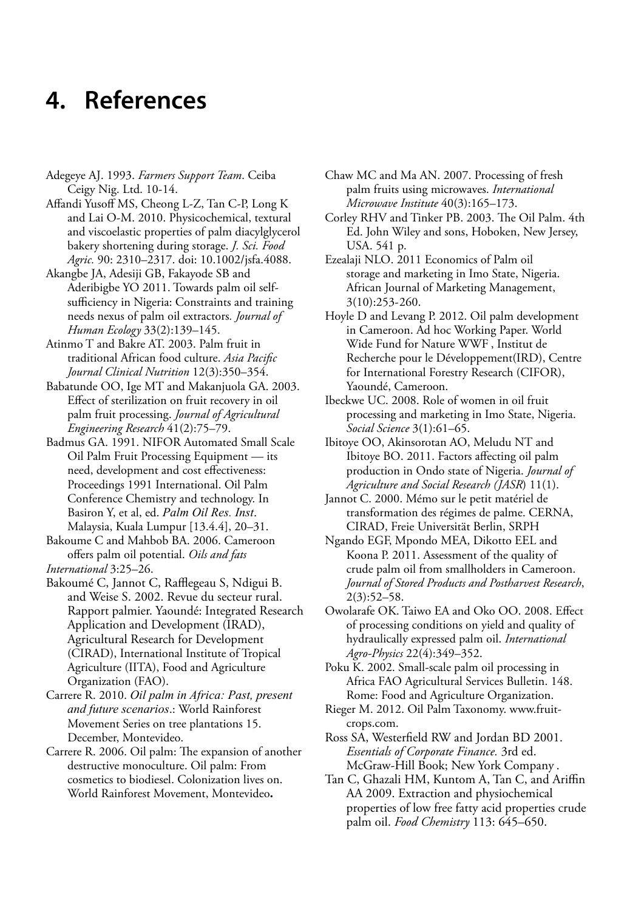### <span id="page-30-0"></span>**4. References**

Adegeye AJ. 1993. *Farmers Support Team*. Ceiba Ceigy Nig. Ltd. 10-14.

Affandi Yusoff MS, Cheong L-Z, Tan C-P, Long K and Lai O-M. 2010. Physicochemical, textural and viscoelastic properties of palm diacylglycerol bakery shortening during storage. *J. Sci. Food Agric.* 90: 2310–2317. doi: 10.1002/jsfa.4088.

Akangbe JA, Adesiji GB, Fakayode SB and Aderibigbe YO 2011. Towards palm oil selfsufficiency in Nigeria: Constraints and training needs nexus of palm oil extractors*. Journal of Human Ecology* 33(2):139–145.

Atinmo T and Bakre AT. 2003. Palm fruit in traditional African food culture. *Asia Pacific Journal Clinical Nutrition* 12(3):350–354.

Babatunde OO, Ige MT and Makanjuola GA. 2003. Effect of sterilization on fruit recovery in oil palm fruit processing. *Journal of Agricultural Engineering Research* 41(2):75–79.

Badmus GA. 1991. NIFOR Automated Small Scale Oil Palm Fruit Processing Equipment — its need, development and cost effectiveness: Proceedings 1991 International. Oil Palm Conference Chemistry and technology. In Basiron Y, et al, ed. *Palm Oil Res. Inst*. Malaysia, Kuala Lumpur [13.4.4], 20–31.

Bakoume C and Mahbob BA. 2006. Cameroon offers palm oil potential. *Oils and fats International* 3:25–26.

Bakoumé C, Jannot C, Rafflegeau S, Ndigui B. and Weise S. 2002. Revue du secteur rural. Rapport palmier. Yaoundé: Integrated Research Application and Development (IRAD), Agricultural Research for Development (CIRAD), International Institute of Tropical Agriculture (IITA), Food and Agriculture Organization (FAO).

- Carrere R. 2010. *Oil palm in Africa: Past, present and future scenarios*.: World Rainforest Movement Series on tree plantations 15. December, Montevideo.
- Carrere R. 2006. Oil palm: The expansion of another destructive monoculture. Oil palm: From cosmetics to biodiesel. Colonization lives on. World Rainforest Movement, Montevideo**.**

Chaw MC and Ma AN. 2007. Processing of fresh palm fruits using microwaves. *International Microwave Institute* 40(3):165–173.

Corley RHV and Tinker PB. 2003. The Oil Palm. 4th Ed. John Wiley and sons, Hoboken, New Jersey, USA. 541 p.

Ezealaji NLO. 2011 Economics of Palm oil storage and marketing in Imo State, Nigeria. African Journal of Marketing Management, 3(10):253-260.

Hoyle D and Levang P. 2012. Oil palm development in Cameroon. Ad hoc Working Paper. World Wide Fund for Nature WWF , Institut de Recherche pour le Développement(IRD), Centre for International Forestry Research (CIFOR), Yaoundé, Cameroon.

Ibeckwe UC. 2008. Role of women in oil fruit processing and marketing in Imo State, Nigeria. *Social Science* 3(1):61–65.

Ibitoye OO, Akinsorotan AO, Meludu NT and Ibitoye BO. 2011. Factors affecting oil palm production in Ondo state of Nigeria. *Journal of Agriculture and Social Research (JASR*) 11(1).

Jannot C. 2000. Mémo sur le petit matériel de transformation des régimes de palme. CERNA, CIRAD, Freie Universität Berlin, SRPH

Ngando EGF, Mpondo MEA, Dikotto EEL and Koona P. 2011. Assessment of the quality of crude palm oil from smallholders in Cameroon. *Journal of Stored Products and Postharvest Research*, 2(3):52–58.

Owolarafe OK. Taiwo EA and Oko OO. 2008. Effect of processing conditions on yield and quality of hydraulically expressed palm oil. *International Agro-Physics* 22(4):349–352.

Poku K. 2002. Small-scale palm oil processing in Africa FAO Agricultural Services Bulletin. 148. Rome: Food and Agriculture Organization.

Rieger M. 2012. Oil Palm Taxonomy. [www.fruit](http://www.fruit-crops.com)[crops.com.](http://www.fruit-crops.com)

Ross SA, Westerfield RW and Jordan BD 2001. *Essentials of Corporate Finance.* 3rd ed. McGraw-Hill Book; New York Company .

Tan C, Ghazali HM, Kuntom A, Tan C, and Ariffin AA 2009. Extraction and physiochemical properties of low free fatty acid properties crude palm oil. *Food Chemistry* 113: 645–650.